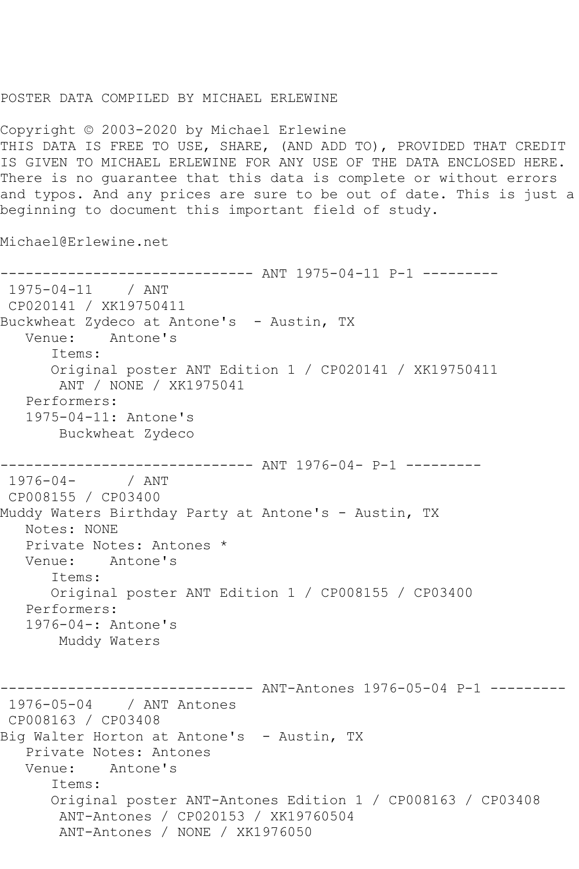## POSTER DATA COMPILED BY MICHAEL ERLEWINE

Copyright © 2003-2020 by Michael Erlewine THIS DATA IS FREE TO USE, SHARE, (AND ADD TO), PROVIDED THAT CREDIT IS GIVEN TO MICHAEL ERLEWINE FOR ANY USE OF THE DATA ENCLOSED HERE. There is no guarantee that this data is complete or without errors and typos. And any prices are sure to be out of date. This is just a beginning to document this important field of study.

Michael@Erlewine.net

------------------------------ ANT 1975-04-11 P-1 --------- 1975-04-11 / ANT CP020141 / XK19750411 Buckwheat Zydeco at Antone's - Austin, TX Venue: Antone's Items: Original poster ANT Edition 1 / CP020141 / XK19750411 ANT / NONE / XK1975041 Performers: 1975-04-11: Antone's Buckwheat Zydeco ------------------------------- ANT 1976-04- P-1 ----------<br>1976-04- / ANT  $1976 - 04 -$ CP008155 / CP03400 Muddy Waters Birthday Party at Antone's - Austin, TX Notes: NONE Private Notes: Antones \* Venue: Antone's Items: Original poster ANT Edition 1 / CP008155 / CP03400 Performers: 1976-04-: Antone's Muddy Waters ------------ ANT-Antones 1976-05-04 P-1 ---------1976-05-04 / ANT Antones CP008163 / CP03408 Big Walter Horton at Antone's - Austin, TX Private Notes: Antones Venue: Antone's Items: Original poster ANT-Antones Edition 1 / CP008163 / CP03408 ANT-Antones / CP020153 / XK19760504 ANT-Antones / NONE / XK1976050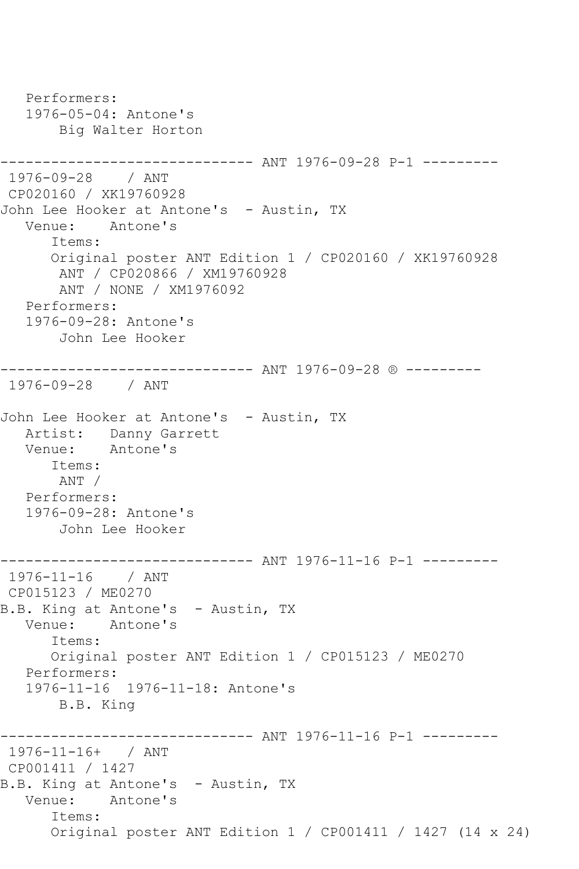Performers: 1976-05-04: Antone's Big Walter Horton ------------------------------ ANT 1976-09-28 P-1 --------- 1976-09-28 / ANT CP020160 / XK19760928 John Lee Hooker at Antone's - Austin, TX Venue: Antone's Items: Original poster ANT Edition 1 / CP020160 / XK19760928 ANT / CP020866 / XM19760928 ANT / NONE / XM1976092 Performers: 1976-09-28: Antone's John Lee Hooker ------------------------------ ANT 1976-09-28 ® --------- 1976-09-28 / ANT John Lee Hooker at Antone's - Austin, TX Artist: Danny Garrett Venue: Antone's Items: ANT / Performers: 1976-09-28: Antone's John Lee Hooker ------------------------------ ANT 1976-11-16 P-1 --------- 1976-11-16 / ANT CP015123 / ME0270 B.B. King at Antone's - Austin, TX Venue: Antone's Items: Original poster ANT Edition 1 / CP015123 / ME0270 Performers: 1976-11-16 1976-11-18: Antone's B.B. King ---------- ANT 1976-11-16 P-1 ---------1976-11-16+ / ANT CP001411 / 1427 B.B. King at Antone's - Austin, TX Venue: Antone's Items: Original poster ANT Edition 1 / CP001411 / 1427 (14 x 24)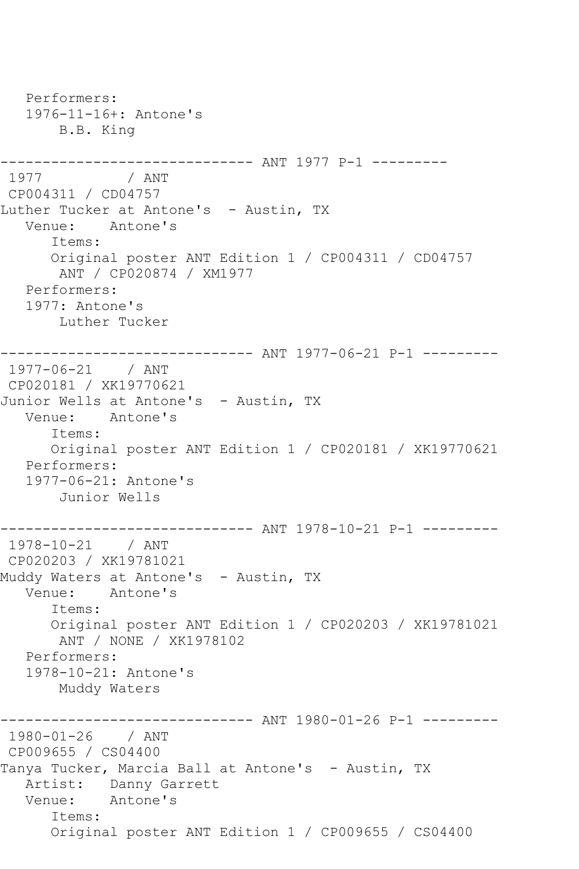Performers: 1976-11-16+: Antone's B.B. King ------------------------------ ANT 1977 P-1 --------- 1977 / ANT CP004311 / CD04757 Luther Tucker at Antone's - Austin, TX Venue: Antone's Items: Original poster ANT Edition 1 / CP004311 / CD04757 ANT / CP020874 / XM1977 Performers: 1977: Antone's Luther Tucker ------------------------------ ANT 1977-06-21 P-1 --------- 1977-06-21 / ANT CP020181 / XK19770621 Junior Wells at Antone's - Austin, TX Venue: Antone's Items: Original poster ANT Edition 1 / CP020181 / XK19770621 Performers: 1977-06-21: Antone's Junior Wells ------------------------------ ANT 1978-10-21 P-1 --------- 1978-10-21 / ANT CP020203 / XK19781021 Muddy Waters at Antone's - Austin, TX Venue: Antone's Items: Original poster ANT Edition 1 / CP020203 / XK19781021 ANT / NONE / XK1978102 Performers: 1978-10-21: Antone's Muddy Waters ------------------------------ ANT 1980-01-26 P-1 --------- 1980-01-26 / ANT CP009655 / CS04400 Tanya Tucker, Marcia Ball at Antone's - Austin, TX Artist: Danny Garrett Venue: Antone's Items: Original poster ANT Edition 1 / CP009655 / CS04400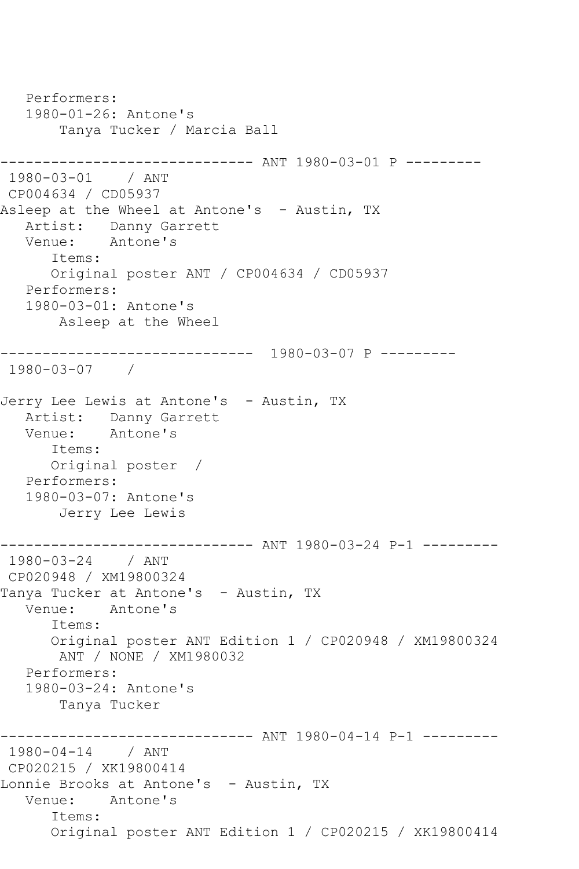Performers: 1980-01-26: Antone's Tanya Tucker / Marcia Ball ------------------------------ ANT 1980-03-01 P --------- 1980-03-01 / ANT CP004634 / CD05937 Asleep at the Wheel at Antone's - Austin, TX Artist: Danny Garrett Venue: Antone's Items: Original poster ANT / CP004634 / CD05937 Performers: 1980-03-01: Antone's Asleep at the Wheel ------------------------------ 1980-03-07 P --------- 1980-03-07 / Jerry Lee Lewis at Antone's - Austin, TX Artist: Danny Garrett Venue: Antone's Items: Original poster / Performers: 1980-03-07: Antone's Jerry Lee Lewis ------------------------------ ANT 1980-03-24 P-1 --------- 1980-03-24 / ANT CP020948 / XM19800324 Tanya Tucker at Antone's - Austin, TX Venue: Antone's Items: Original poster ANT Edition 1 / CP020948 / XM19800324 ANT / NONE / XM1980032 Performers: 1980-03-24: Antone's Tanya Tucker ----------- ANT 1980-04-14 P-1 ---------1980-04-14 / ANT CP020215 / XK19800414 Lonnie Brooks at Antone's - Austin, TX Venue: Antone's Items: Original poster ANT Edition 1 / CP020215 / XK19800414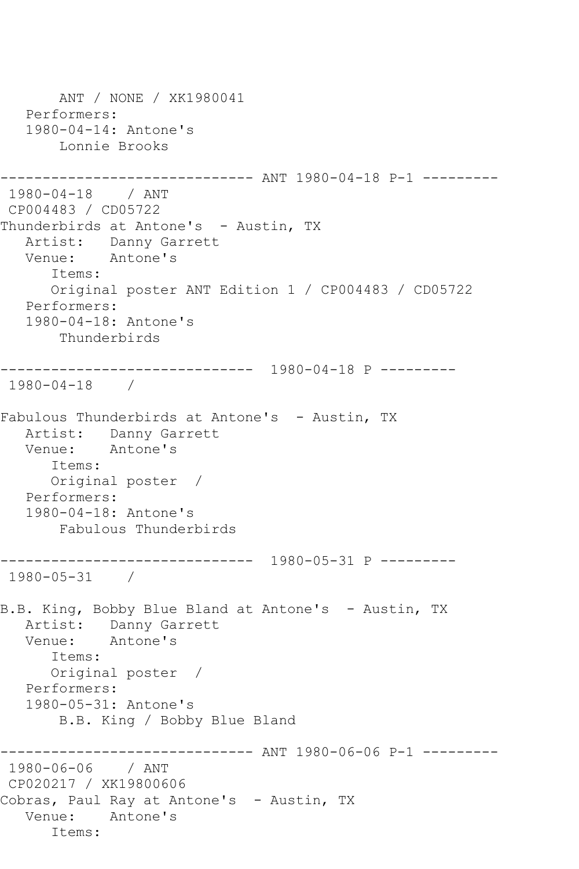```
 ANT / NONE / XK1980041
   Performers:
   1980-04-14: Antone's
       Lonnie Brooks
------------------------------ ANT 1980-04-18 P-1 ---------
1980-04-18 / ANT 
CP004483 / CD05722
Thunderbirds at Antone's - Austin, TX
   Artist: Danny Garrett
   Venue: Antone's
      Items:
      Original poster ANT Edition 1 / CP004483 / CD05722
   Performers:
   1980-04-18: Antone's
       Thunderbirds
------------------------------ 1980-04-18 P ---------
1980-04-18 / 
Fabulous Thunderbirds at Antone's - Austin, TX
   Artist: Danny Garrett
   Venue: Antone's
      Items:
      Original poster / 
   Performers:
   1980-04-18: Antone's
       Fabulous Thunderbirds
  ------------------------------ 1980-05-31 P ---------
1980-05-31 / 
B.B. King, Bobby Blue Bland at Antone's - Austin, TX
   Artist: Danny Garrett
   Venue: Antone's
      Items:
      Original poster / 
   Performers:
   1980-05-31: Antone's
       B.B. King / Bobby Blue Bland
------------------------------ ANT 1980-06-06 P-1 ---------
1980-06-06 / ANT 
CP020217 / XK19800606
Cobras, Paul Ray at Antone's - Austin, TX
   Venue: Antone's
      Items:
```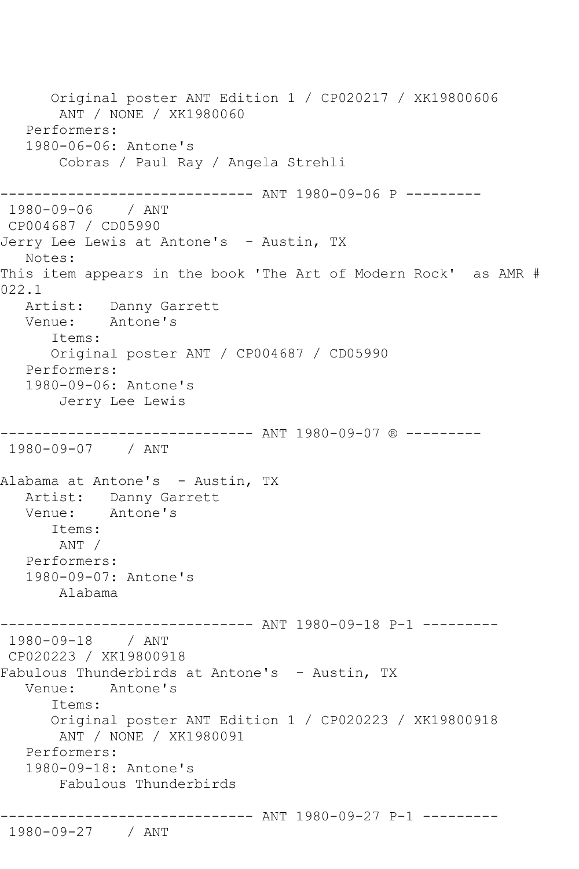Original poster ANT Edition 1 / CP020217 / XK19800606 ANT / NONE / XK1980060 Performers: 1980-06-06: Antone's Cobras / Paul Ray / Angela Strehli ------------------------------ ANT 1980-09-06 P --------- 1980-09-06 / ANT CP004687 / CD05990 Jerry Lee Lewis at Antone's - Austin, TX Notes: This item appears in the book 'The Art of Modern Rock' as AMR # 022.1 Artist: Danny Garrett Venue: Antone's Items: Original poster ANT / CP004687 / CD05990 Performers: 1980-09-06: Antone's Jerry Lee Lewis ------------------------------ ANT 1980-09-07 ® --------- 1980-09-07 / ANT Alabama at Antone's - Austin, TX Artist: Danny Garrett Venue: Antone's Items: ANT / Performers: 1980-09-07: Antone's Alabama ------------------------------ ANT 1980-09-18 P-1 --------- 1980-09-18 / ANT CP020223 / XK19800918 Fabulous Thunderbirds at Antone's - Austin, TX Venue: Antone's Items: Original poster ANT Edition 1 / CP020223 / XK19800918 ANT / NONE / XK1980091 Performers: 1980-09-18: Antone's Fabulous Thunderbirds ------------------------------ ANT 1980-09-27 P-1 --------- 1980-09-27 / ANT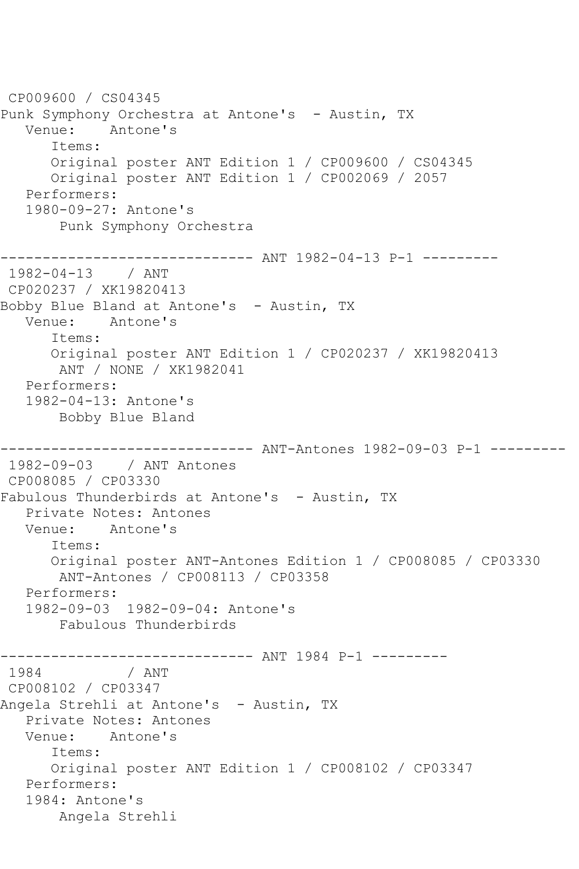CP009600 / CS04345 Punk Symphony Orchestra at Antone's - Austin, TX Venue: Antone's Items: Original poster ANT Edition 1 / CP009600 / CS04345 Original poster ANT Edition 1 / CP002069 / 2057 Performers: 1980-09-27: Antone's Punk Symphony Orchestra ------------------------------ ANT 1982-04-13 P-1 --------- 1982-04-13 / ANT CP020237 / XK19820413 Bobby Blue Bland at Antone's - Austin, TX Venue: Antone's Items: Original poster ANT Edition 1 / CP020237 / XK19820413 ANT / NONE / XK1982041 Performers: 1982-04-13: Antone's Bobby Blue Bland ------------------------------ ANT-Antones 1982-09-03 P-1 --------- 1982-09-03 / ANT Antones CP008085 / CP03330 Fabulous Thunderbirds at Antone's - Austin, TX Private Notes: Antones Venue: Antone's Items: Original poster ANT-Antones Edition 1 / CP008085 / CP03330 ANT-Antones / CP008113 / CP03358 Performers: 1982-09-03 1982-09-04: Antone's Fabulous Thunderbirds -------------------------------- ANT 1984 P-1 ---------<br>1984 / ANT  $/$  ANT CP008102 / CP03347 Angela Strehli at Antone's - Austin, TX Private Notes: Antones Venue: Antone's Items: Original poster ANT Edition 1 / CP008102 / CP03347 Performers: 1984: Antone's Angela Strehli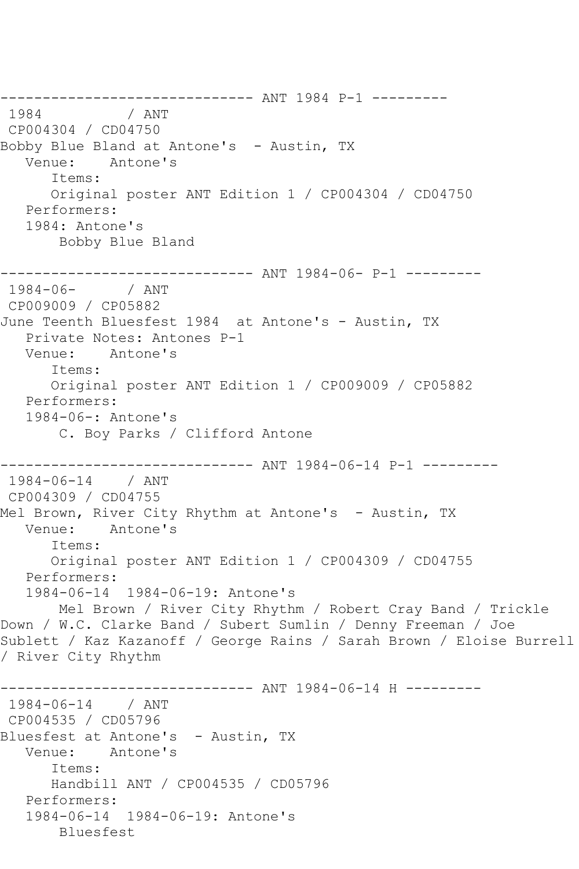-------------------------------- ANT 1984 P-1 ---------<br>1984 / ANT  $/$  ANT CP004304 / CD04750 Bobby Blue Bland at Antone's - Austin, TX<br>Venue: Antone's Antone's Items: Original poster ANT Edition 1 / CP004304 / CD04750 Performers: 1984: Antone's Bobby Blue Bland --------------------------- ANT 1984-06- P-1 ----------<br>84-06- / ANT  $1984 - 06 -$ CP009009 / CP05882 June Teenth Bluesfest 1984 at Antone's - Austin, TX Private Notes: Antones P-1 Venue: Antone's Items: Original poster ANT Edition 1 / CP009009 / CP05882 Performers: 1984-06-: Antone's C. Boy Parks / Clifford Antone ------------------------------ ANT 1984-06-14 P-1 --------- 1984-06-14 / ANT CP004309 / CD04755 Mel Brown, River City Rhythm at Antone's - Austin, TX Venue: Antone's Items: Original poster ANT Edition 1 / CP004309 / CD04755 Performers: 1984-06-14 1984-06-19: Antone's Mel Brown / River City Rhythm / Robert Cray Band / Trickle Down / W.C. Clarke Band / Subert Sumlin / Denny Freeman / Joe Sublett / Kaz Kazanoff / George Rains / Sarah Brown / Eloise Burrell / River City Rhythm ----------- ANT 1984-06-14 H ---------1984-06-14 / ANT CP004535 / CD05796 Bluesfest at Antone's - Austin, TX Venue: Antone's Items: Handbill ANT / CP004535 / CD05796 Performers: 1984-06-14 1984-06-19: Antone's Bluesfest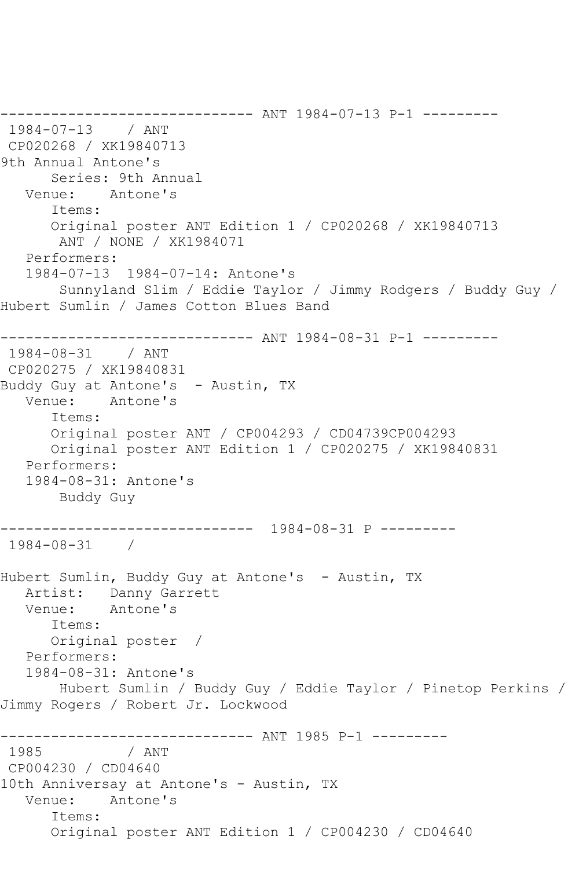------------------------------ ANT 1984-07-13 P-1 --------- 1984-07-13 / ANT CP020268 / XK19840713 9th Annual Antone's Series: 9th Annual Venue: Antone's Items: Original poster ANT Edition 1 / CP020268 / XK19840713 ANT / NONE / XK1984071 Performers: 1984-07-13 1984-07-14: Antone's Sunnyland Slim / Eddie Taylor / Jimmy Rodgers / Buddy Guy / Hubert Sumlin / James Cotton Blues Band ------------------------------ ANT 1984-08-31 P-1 --------- 1984-08-31 / ANT CP020275 / XK19840831 Buddy Guy at Antone's - Austin, TX Venue: Antone's Items: Original poster ANT / CP004293 / CD04739CP004293 Original poster ANT Edition 1 / CP020275 / XK19840831 Performers: 1984-08-31: Antone's Buddy Guy ------------------------------ 1984-08-31 P --------- 1984-08-31 / Hubert Sumlin, Buddy Guy at Antone's - Austin, TX Artist: Danny Garrett<br>Venue: Antone's Antone's Items: Original poster / Performers: 1984-08-31: Antone's Hubert Sumlin / Buddy Guy / Eddie Taylor / Pinetop Perkins / Jimmy Rogers / Robert Jr. Lockwood ------------------------------ ANT 1985 P-1 --------- / ANT CP004230 / CD04640 10th Anniversay at Antone's - Austin, TX Venue: Antone's Items: Original poster ANT Edition 1 / CP004230 / CD04640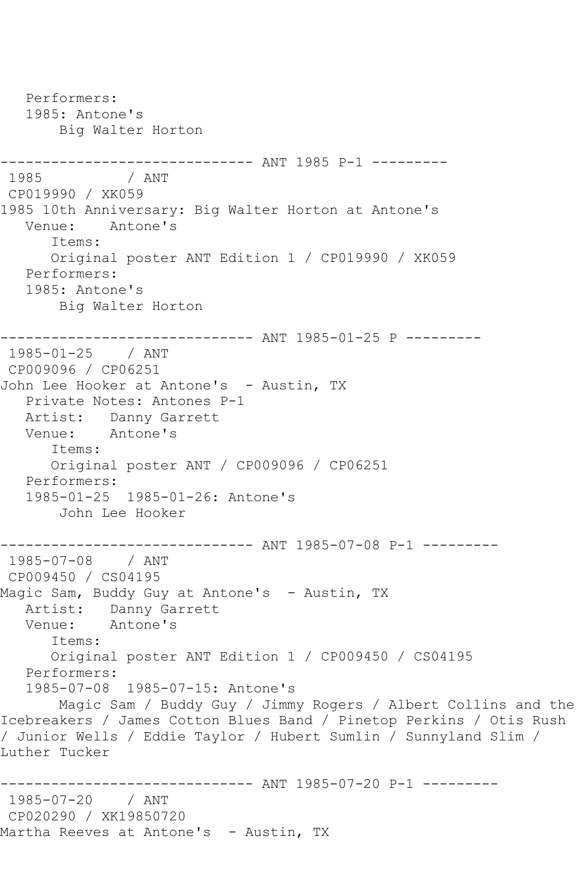Performers: 1985: Antone's Big Walter Horton ------------------------------ ANT 1985 P-1 --------- 1985 / ANT CP019990 / XK059 1985 10th Anniversary: Big Walter Horton at Antone's Venue: Antone's Items: Original poster ANT Edition 1 / CP019990 / XK059 Performers: 1985: Antone's Big Walter Horton ------------------------------ ANT 1985-01-25 P --------- 1985-01-25 / ANT CP009096 / CP06251 John Lee Hooker at Antone's - Austin, TX Private Notes: Antones P-1 Artist: Danny Garrett Venue: Antone's Items: Original poster ANT / CP009096 / CP06251 Performers: 1985-01-25 1985-01-26: Antone's John Lee Hooker ------------------------------ ANT 1985-07-08 P-1 --------- 1985-07-08 / ANT CP009450 / CS04195 Magic Sam, Buddy Guy at Antone's - Austin, TX Artist: Danny Garrett<br>Venue: Antone's Antone's Items: Original poster ANT Edition 1 / CP009450 / CS04195 Performers: 1985-07-08 1985-07-15: Antone's Magic Sam / Buddy Guy / Jimmy Rogers / Albert Collins and the Icebreakers / James Cotton Blues Band / Pinetop Perkins / Otis Rush / Junior Wells / Eddie Taylor / Hubert Sumlin / Sunnyland Slim / Luther Tucker ------------------------------ ANT 1985-07-20 P-1 --------- 1985-07-20 / ANT CP020290 / XK19850720 Martha Reeves at Antone's - Austin, TX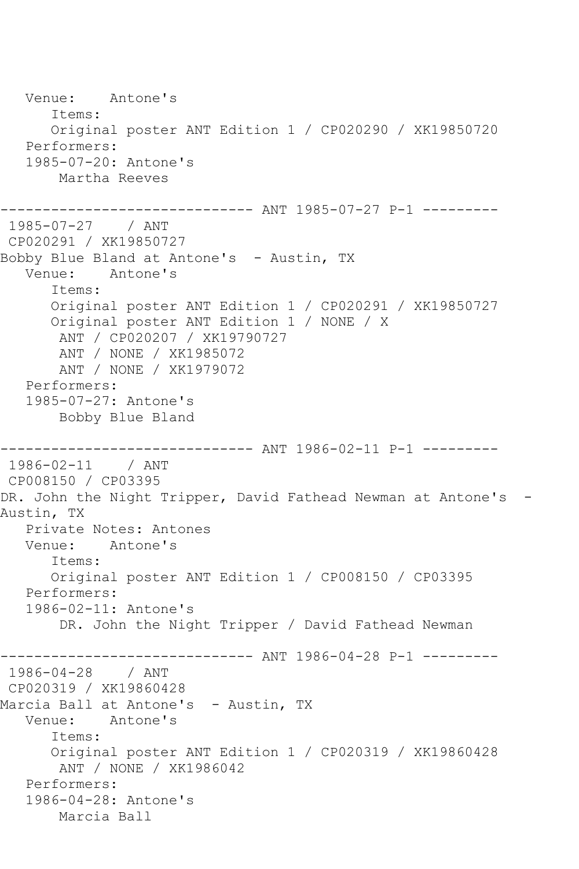Venue: Antone's Items: Original poster ANT Edition 1 / CP020290 / XK19850720 Performers: 1985-07-20: Antone's Martha Reeves ------------------------------ ANT 1985-07-27 P-1 --------- 1985-07-27 / ANT CP020291 / XK19850727 Bobby Blue Bland at Antone's - Austin, TX Venue: Antone's Items: Original poster ANT Edition 1 / CP020291 / XK19850727 Original poster ANT Edition 1 / NONE / X ANT / CP020207 / XK19790727 ANT / NONE / XK1985072 ANT / NONE / XK1979072 Performers: 1985-07-27: Antone's Bobby Blue Bland ------------------------------ ANT 1986-02-11 P-1 --------- 1986-02-11 / ANT CP008150 / CP03395 DR. John the Night Tripper, David Fathead Newman at Antone's -Austin, TX Private Notes: Antones Venue: Antone's Items: Original poster ANT Edition 1 / CP008150 / CP03395 Performers: 1986-02-11: Antone's DR. John the Night Tripper / David Fathead Newman ------------------------------ ANT 1986-04-28 P-1 --------- 1986-04-28 / ANT CP020319 / XK19860428 Marcia Ball at Antone's – Austin, TX<br>Venue: Antone's Antone's Items: Original poster ANT Edition 1 / CP020319 / XK19860428 ANT / NONE / XK1986042 Performers: 1986-04-28: Antone's Marcia Ball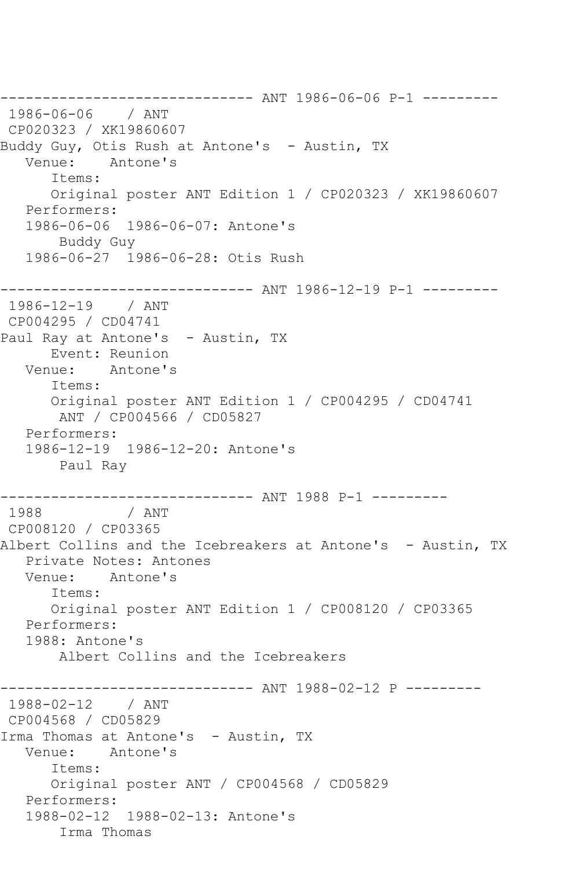------------------------------ ANT 1986-06-06 P-1 --------- 1986-06-06 / ANT CP020323 / XK19860607 Buddy Guy, Otis Rush at Antone's – Austin, TX<br>Venue: Antone's Antone's Items: Original poster ANT Edition 1 / CP020323 / XK19860607 Performers: 1986-06-06 1986-06-07: Antone's Buddy Guy 1986-06-27 1986-06-28: Otis Rush ------------------------------ ANT 1986-12-19 P-1 --------- 1986-12-19 / ANT CP004295 / CD04741 Paul Ray at Antone's - Austin, TX Event: Reunion Venue: Antone's Items: Original poster ANT Edition 1 / CP004295 / CD04741 ANT / CP004566 / CD05827 Performers: 1986-12-19 1986-12-20: Antone's Paul Ray ------------------------------ ANT 1988 P-1 --------- 1988 /  $\overline{a}$ CP008120 / CP03365 Albert Collins and the Icebreakers at Antone's - Austin, TX Private Notes: Antones Venue: Antone's Items: Original poster ANT Edition 1 / CP008120 / CP03365 Performers: 1988: Antone's Albert Collins and the Icebreakers ----------- ANT 1988-02-12 P ----------1988-02-12 / ANT CP004568 / CD05829 Irma Thomas at Antone's - Austin, TX Venue: Antone's Items: Original poster ANT / CP004568 / CD05829 Performers: 1988-02-12 1988-02-13: Antone's Irma Thomas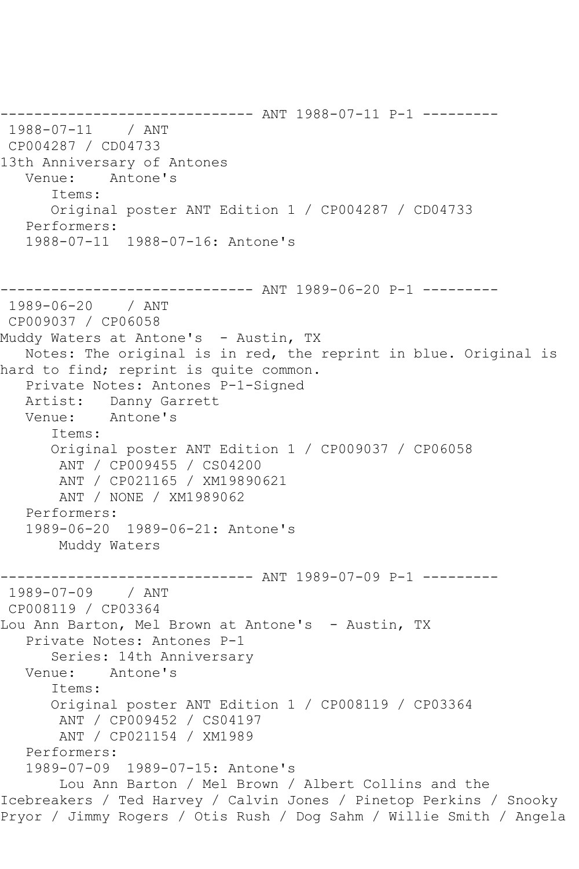------------------------------ ANT 1988-07-11 P-1 --------- 1988-07-11 / ANT CP004287 / CD04733 13th Anniversary of Antones Venue: Antone's Items: Original poster ANT Edition 1 / CP004287 / CD04733 Performers: 1988-07-11 1988-07-16: Antone's ------------------------------ ANT 1989-06-20 P-1 --------- 1989-06-20 / ANT CP009037 / CP06058 Muddy Waters at Antone's - Austin, TX Notes: The original is in red, the reprint in blue. Original is hard to find; reprint is quite common. Private Notes: Antones P-1-Signed Artist: Danny Garrett<br>Venue: Antone's Antone's Items: Original poster ANT Edition 1 / CP009037 / CP06058 ANT / CP009455 / CS04200 ANT / CP021165 / XM19890621 ANT / NONE / XM1989062 Performers: 1989-06-20 1989-06-21: Antone's Muddy Waters ------------------------------ ANT 1989-07-09 P-1 --------- 1989-07-09 / ANT CP008119 / CP03364 Lou Ann Barton, Mel Brown at Antone's - Austin, TX Private Notes: Antones P-1 Series: 14th Anniversary Venue: Antone's Items: Original poster ANT Edition 1 / CP008119 / CP03364 ANT / CP009452 / CS04197 ANT / CP021154 / XM1989 Performers: 1989-07-09 1989-07-15: Antone's Lou Ann Barton / Mel Brown / Albert Collins and the Icebreakers / Ted Harvey / Calvin Jones / Pinetop Perkins / Snooky Pryor / Jimmy Rogers / Otis Rush / Dog Sahm / Willie Smith / Angela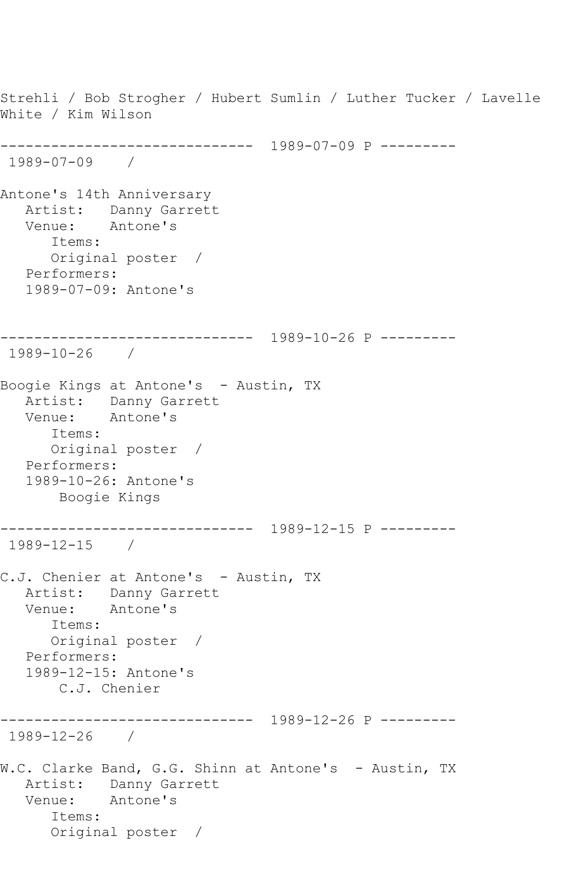Strehli / Bob Strogher / Hubert Sumlin / Luther Tucker / Lavelle White / Kim Wilson ------------------------------ 1989-07-09 P --------- 1989-07-09 / Antone's 14th Anniversary Artist: Danny Garrett Venue: Antone's Items: Original poster / Performers: 1989-07-09: Antone's ------------------------------ 1989-10-26 P --------- 1989-10-26 / Boogie Kings at Antone's - Austin, TX Artist: Danny Garrett<br>Venue: Antone's Antone's Items: Original poster / Performers: 1989-10-26: Antone's Boogie Kings ------------------------------ 1989-12-15 P --------- 1989-12-15 / C.J. Chenier at Antone's - Austin, TX Artist: Danny Garrett Venue: Antone's Items: Original poster / Performers: 1989-12-15: Antone's C.J. Chenier ------------------------------ 1989-12-26 P --------- 1989-12-26 / W.C. Clarke Band, G.G. Shinn at Antone's - Austin, TX Artist: Danny Garrett Venue: Antone's Items: Original poster /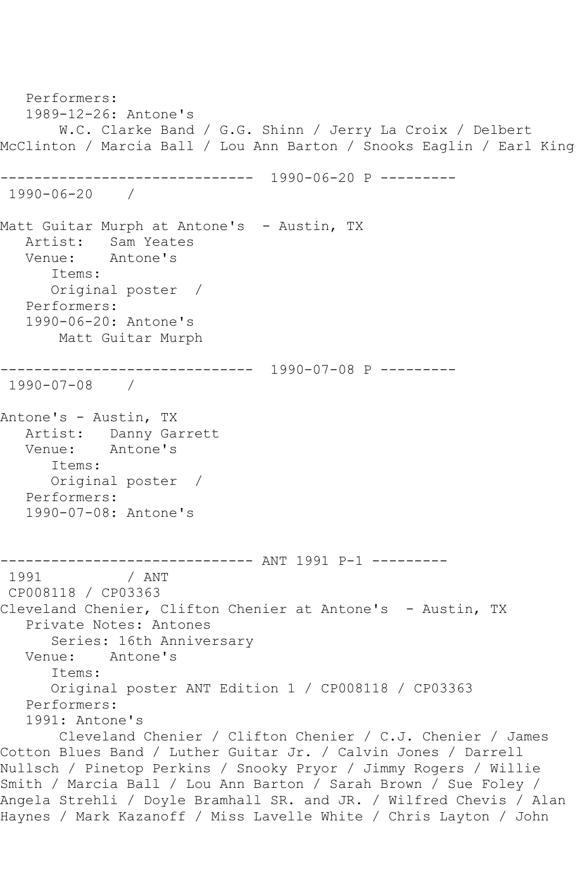Performers: 1989-12-26: Antone's W.C. Clarke Band / G.G. Shinn / Jerry La Croix / Delbert McClinton / Marcia Ball / Lou Ann Barton / Snooks Eaglin / Earl King ------------------------------ 1990-06-20 P --------- 1990-06-20 / Matt Guitar Murph at Antone's - Austin, TX Artist: Sam Yeates Venue: Antone's Items: Original poster / Performers: 1990-06-20: Antone's Matt Guitar Murph ------------------------------ 1990-07-08 P --------- 1990-07-08 / Antone's - Austin, TX Artist: Danny Garrett Venue: Antone's Items: Original poster / Performers: 1990-07-08: Antone's ------------------------------ ANT 1991 P-1 --------- / ANT CP008118 / CP03363 Cleveland Chenier, Clifton Chenier at Antone's - Austin, TX Private Notes: Antones Series: 16th Anniversary Venue: Antone's Items: Original poster ANT Edition 1 / CP008118 / CP03363 Performers: 1991: Antone's Cleveland Chenier / Clifton Chenier / C.J. Chenier / James Cotton Blues Band / Luther Guitar Jr. / Calvin Jones / Darrell Nullsch / Pinetop Perkins / Snooky Pryor / Jimmy Rogers / Willie Smith / Marcia Ball / Lou Ann Barton / Sarah Brown / Sue Foley / Angela Strehli / Doyle Bramhall SR. and JR. / Wilfred Chevis / Alan Haynes / Mark Kazanoff / Miss Lavelle White / Chris Layton / John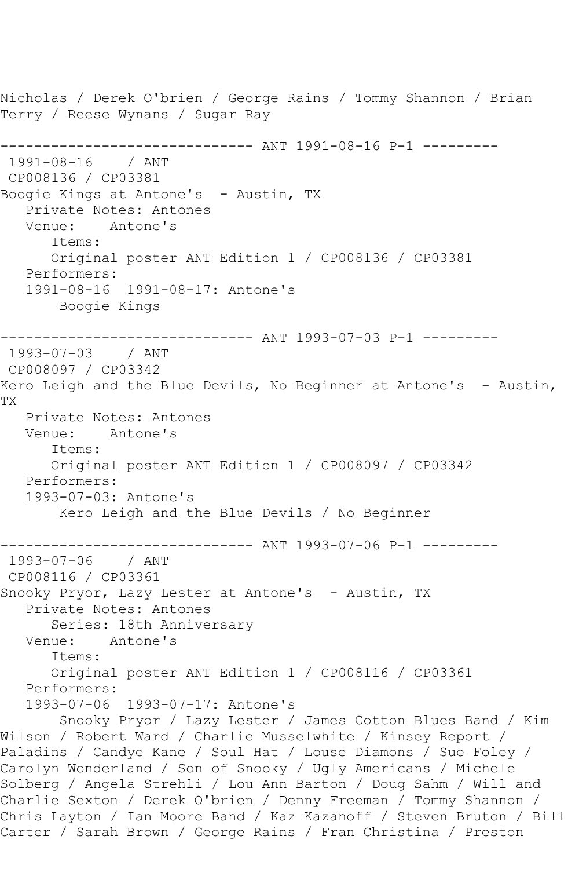Nicholas / Derek O'brien / George Rains / Tommy Shannon / Brian Terry / Reese Wynans / Sugar Ray ------------------------------ ANT 1991-08-16 P-1 --------- 1991-08-16 / ANT CP008136 / CP03381 Boogie Kings at Antone's - Austin, TX Private Notes: Antones Venue: Antone's Items: Original poster ANT Edition 1 / CP008136 / CP03381 Performers: 1991-08-16 1991-08-17: Antone's Boogie Kings ------------------------------ ANT 1993-07-03 P-1 --------- 1993-07-03 / ANT CP008097 / CP03342 Kero Leigh and the Blue Devils, No Beginner at Antone's - Austin, TX Private Notes: Antones Venue: Antone's Items: Original poster ANT Edition 1 / CP008097 / CP03342 Performers: 1993-07-03: Antone's Kero Leigh and the Blue Devils / No Beginner ------------------------------ ANT 1993-07-06 P-1 --------- 1993-07-06 / ANT CP008116 / CP03361 Snooky Pryor, Lazy Lester at Antone's - Austin, TX Private Notes: Antones Series: 18th Anniversary Venue: Antone's Items: Original poster ANT Edition 1 / CP008116 / CP03361 Performers: 1993-07-06 1993-07-17: Antone's Snooky Pryor / Lazy Lester / James Cotton Blues Band / Kim Wilson / Robert Ward / Charlie Musselwhite / Kinsey Report / Paladins / Candye Kane / Soul Hat / Louse Diamons / Sue Foley / Carolyn Wonderland / Son of Snooky / Ugly Americans / Michele Solberg / Angela Strehli / Lou Ann Barton / Doug Sahm / Will and Charlie Sexton / Derek O'brien / Denny Freeman / Tommy Shannon / Chris Layton / Ian Moore Band / Kaz Kazanoff / Steven Bruton / Bill Carter / Sarah Brown / George Rains / Fran Christina / Preston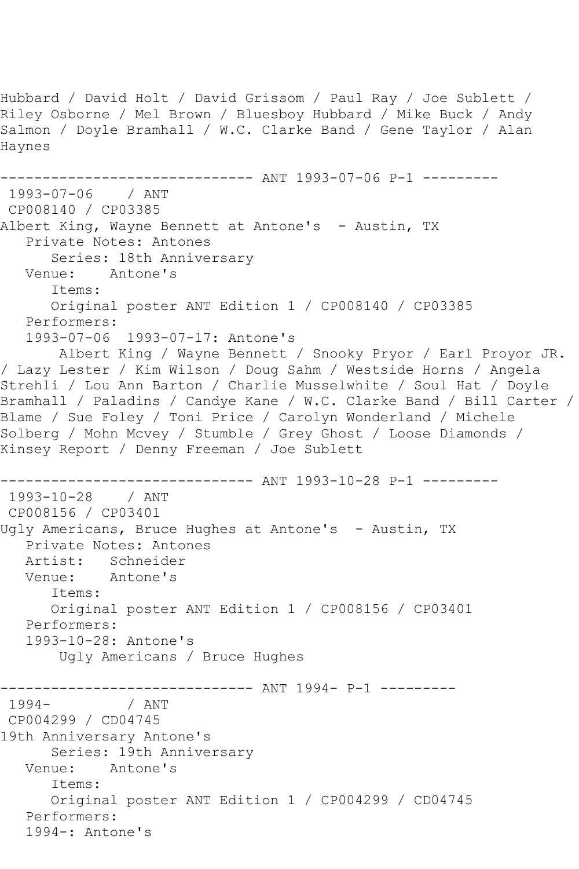Hubbard / David Holt / David Grissom / Paul Ray / Joe Sublett / Riley Osborne / Mel Brown / Bluesboy Hubbard / Mike Buck / Andy Salmon / Doyle Bramhall / W.C. Clarke Band / Gene Taylor / Alan Haynes ------------ ANT 1993-07-06 P-1 ---------1993-07-06 / ANT CP008140 / CP03385 Albert King, Wayne Bennett at Antone's - Austin, TX Private Notes: Antones Series: 18th Anniversary Venue: Antone's Items: Original poster ANT Edition 1 / CP008140 / CP03385 Performers: 1993-07-06 1993-07-17: Antone's Albert King / Wayne Bennett / Snooky Pryor / Earl Proyor JR. / Lazy Lester / Kim Wilson / Doug Sahm / Westside Horns / Angela Strehli / Lou Ann Barton / Charlie Musselwhite / Soul Hat / Doyle Bramhall / Paladins / Candye Kane / W.C. Clarke Band / Bill Carter / Blame / Sue Foley / Toni Price / Carolyn Wonderland / Michele Solberg / Mohn Mcvey / Stumble / Grey Ghost / Loose Diamonds / Kinsey Report / Denny Freeman / Joe Sublett ------------------------------ ANT 1993-10-28 P-1 --------- 1993-10-28 / ANT CP008156 / CP03401 Ugly Americans, Bruce Hughes at Antone's - Austin, TX Private Notes: Antones Artist: Schneider<br>Venue: Antone's Antone's Items: Original poster ANT Edition 1 / CP008156 / CP03401 Performers: 1993-10-28: Antone's Ugly Americans / Bruce Hughes ------------------------------ ANT 1994- P-1 --------- / ANT CP004299 / CD04745 19th Anniversary Antone's Series: 19th Anniversary Venue: Antone's Items: Original poster ANT Edition 1 / CP004299 / CD04745 Performers: 1994-: Antone's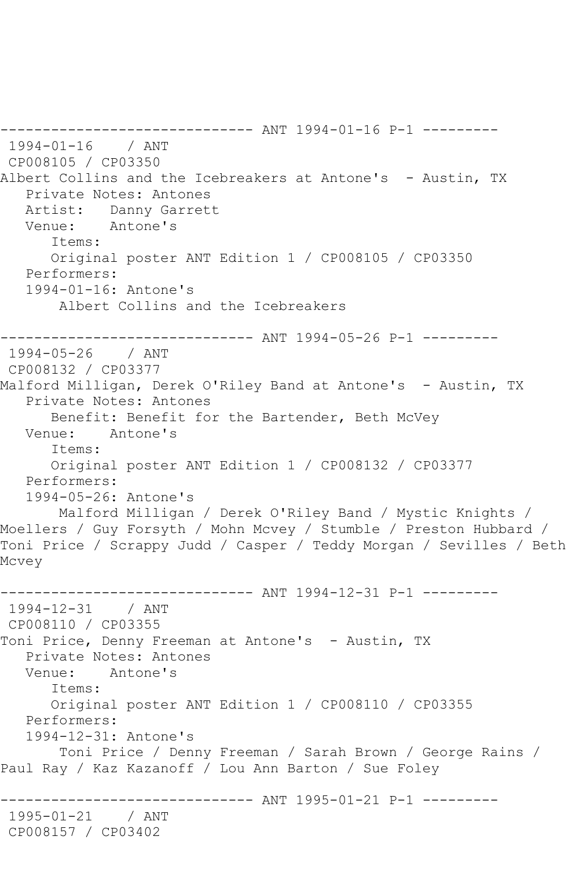------------------------------ ANT 1994-01-16 P-1 --------- 1994-01-16 / ANT CP008105 / CP03350 Albert Collins and the Icebreakers at Antone's - Austin, TX Private Notes: Antones Artist: Danny Garrett Venue: Antone's Items: Original poster ANT Edition 1 / CP008105 / CP03350 Performers: 1994-01-16: Antone's Albert Collins and the Icebreakers ------------------------------ ANT 1994-05-26 P-1 --------- 1994-05-26 / ANT CP008132 / CP03377 Malford Milligan, Derek O'Riley Band at Antone's - Austin, TX Private Notes: Antones Benefit: Benefit for the Bartender, Beth McVey Venue: Antone's Items: Original poster ANT Edition 1 / CP008132 / CP03377 Performers: 1994-05-26: Antone's Malford Milligan / Derek O'Riley Band / Mystic Knights / Moellers / Guy Forsyth / Mohn Mcvey / Stumble / Preston Hubbard / Toni Price / Scrappy Judd / Casper / Teddy Morgan / Sevilles / Beth Mcvey ------------------------------ ANT 1994-12-31 P-1 --------- 1994-12-31 / ANT CP008110 / CP03355 Toni Price, Denny Freeman at Antone's - Austin, TX Private Notes: Antones Venue: Antone's Items: Original poster ANT Edition 1 / CP008110 / CP03355 Performers: 1994-12-31: Antone's Toni Price / Denny Freeman / Sarah Brown / George Rains / Paul Ray / Kaz Kazanoff / Lou Ann Barton / Sue Foley ------------------------------ ANT 1995-01-21 P-1 --------- 1995-01-21 / ANT CP008157 / CP03402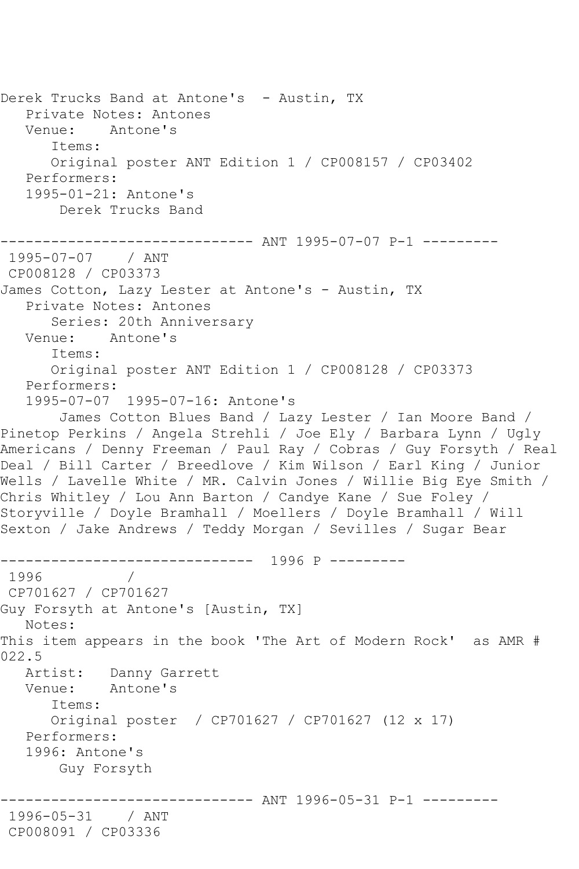Derek Trucks Band at Antone's - Austin, TX Private Notes: Antones Venue: Antone's Items: Original poster ANT Edition 1 / CP008157 / CP03402 Performers: 1995-01-21: Antone's Derek Trucks Band ------------------------------ ANT 1995-07-07 P-1 --------- 1995-07-07 / ANT CP008128 / CP03373 James Cotton, Lazy Lester at Antone's - Austin, TX Private Notes: Antones Series: 20th Anniversary Venue: Antone's Items: Original poster ANT Edition 1 / CP008128 / CP03373 Performers: 1995-07-07 1995-07-16: Antone's James Cotton Blues Band / Lazy Lester / Ian Moore Band / Pinetop Perkins / Angela Strehli / Joe Ely / Barbara Lynn / Ugly Americans / Denny Freeman / Paul Ray / Cobras / Guy Forsyth / Real Deal / Bill Carter / Breedlove / Kim Wilson / Earl King / Junior Wells / Lavelle White / MR. Calvin Jones / Willie Big Eye Smith / Chris Whitley / Lou Ann Barton / Candye Kane / Sue Foley / Storyville / Doyle Bramhall / Moellers / Doyle Bramhall / Will Sexton / Jake Andrews / Teddy Morgan / Sevilles / Sugar Bear ------------------------------ 1996 P --------- 1996 CP701627 / CP701627 Guy Forsyth at Antone's [Austin, TX] Notes: This item appears in the book 'The Art of Modern Rock' as AMR # 022.5<br>Artist: Danny Garrett Venue: Antone's Items: Original poster / CP701627 / CP701627 (12 x 17) Performers: 1996: Antone's Guy Forsyth ------------------------------ ANT 1996-05-31 P-1 --------- 1996-05-31 / ANT CP008091 / CP03336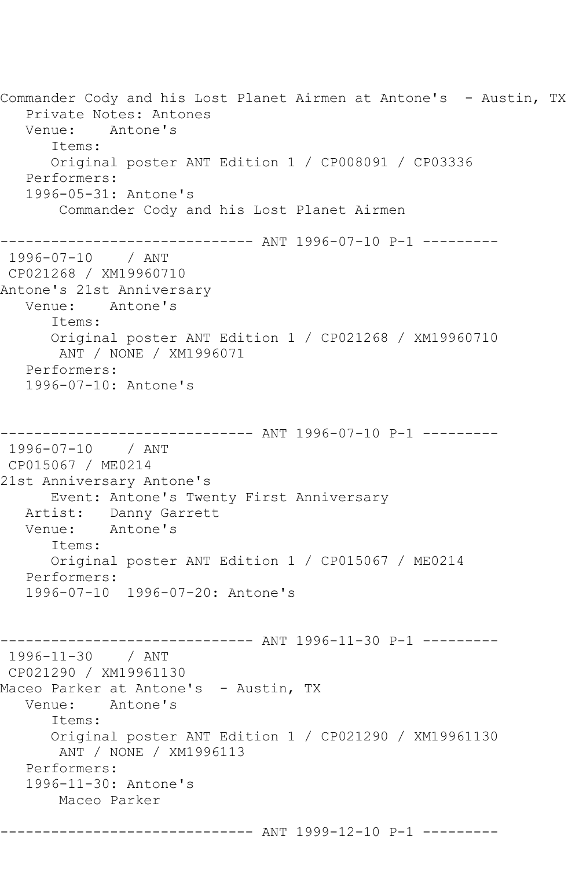Commander Cody and his Lost Planet Airmen at Antone's - Austin, TX Private Notes: Antones Venue: Antone's Items: Original poster ANT Edition 1 / CP008091 / CP03336 Performers: 1996-05-31: Antone's Commander Cody and his Lost Planet Airmen ------------------------------ ANT 1996-07-10 P-1 --------- 1996-07-10 / ANT CP021268 / XM19960710 Antone's 21st Anniversary Venue: Antone's Items: Original poster ANT Edition 1 / CP021268 / XM19960710 ANT / NONE / XM1996071 Performers: 1996-07-10: Antone's ------------------------------ ANT 1996-07-10 P-1 --------- 1996-07-10 / ANT CP015067 / ME0214 21st Anniversary Antone's Event: Antone's Twenty First Anniversary Artist: Danny Garrett Venue: Antone's Items: Original poster ANT Edition 1 / CP015067 / ME0214 Performers: 1996-07-10 1996-07-20: Antone's ---------- ANT 1996-11-30 P-1 ----------1996-11-30 / ANT CP021290 / XM19961130 Maceo Parker at Antone's - Austin, TX Venue: Antone's Items: Original poster ANT Edition 1 / CP021290 / XM19961130 ANT / NONE / XM1996113 Performers: 1996-11-30: Antone's Maceo Parker ------------------------------ ANT 1999-12-10 P-1 ---------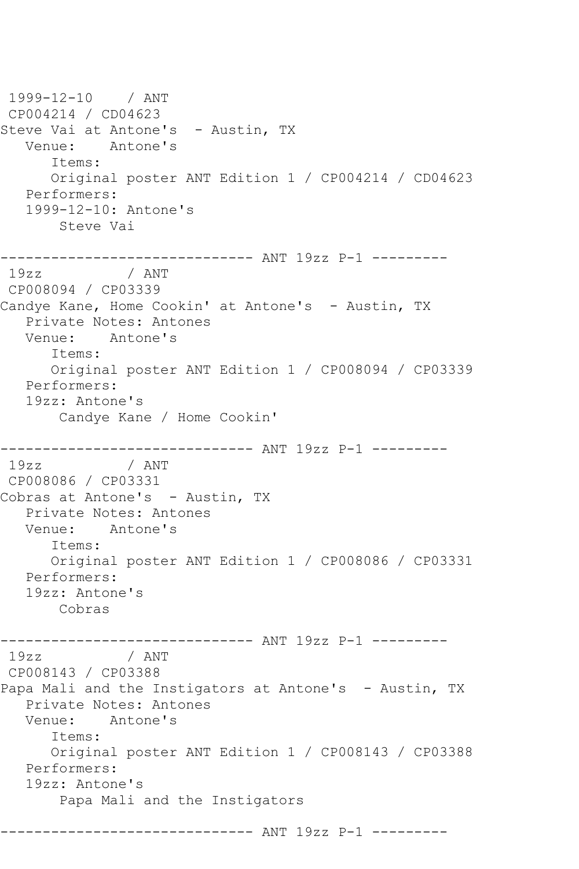1999-12-10 / ANT CP004214 / CD04623 Steve Vai at Antone's - Austin, TX Venue: Antone's Items: Original poster ANT Edition 1 / CP004214 / CD04623 Performers: 1999-12-10: Antone's Steve Vai ------------------------------ ANT 19zz P-1 --------- 19zz / ANT CP008094 / CP03339 Candye Kane, Home Cookin' at Antone's - Austin, TX Private Notes: Antones Venue: Antone's Items: Original poster ANT Edition 1 / CP008094 / CP03339 Performers: 19zz: Antone's Candye Kane / Home Cookin' --------------------------------- ANT 19zz P-1 ----------<br>19zz / ANT / ANT CP008086 / CP03331 Cobras at Antone's - Austin, TX Private Notes: Antones Venue: Antone's Items: Original poster ANT Edition 1 / CP008086 / CP03331 Performers: 19zz: Antone's Cobras ---------------------------------- ANT 19zz P-1 ----------<br>19zz / ANT / ANT CP008143 / CP03388 Papa Mali and the Instigators at Antone's - Austin, TX Private Notes: Antones Venue: Antone's Items: Original poster ANT Edition 1 / CP008143 / CP03388 Performers: 19zz: Antone's Papa Mali and the Instigators ------------------------------ ANT 19zz P-1 ---------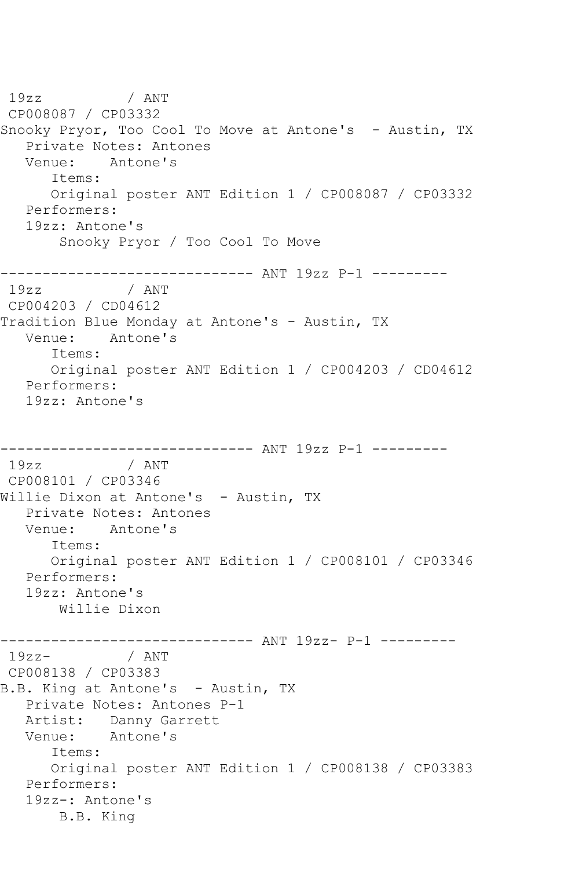19zz / ANT CP008087 / CP03332 Snooky Pryor, Too Cool To Move at Antone's - Austin, TX Private Notes: Antones<br>Venue: Antone's Antone's Items: Original poster ANT Edition 1 / CP008087 / CP03332 Performers: 19zz: Antone's Snooky Pryor / Too Cool To Move ------------------------------ ANT 19zz P-1 --------- 19zz / ANT CP004203 / CD04612 Tradition Blue Monday at Antone's - Austin, TX Venue: Antone's Items: Original poster ANT Edition 1 / CP004203 / CD04612 Performers: 19zz: Antone's --------------------------------- ANT 19zz P-1 ----------<br>19zz / ANT / ANT CP008101 / CP03346 Willie Dixon at Antone's - Austin, TX Private Notes: Antones Venue: Antone's Items: Original poster ANT Edition 1 / CP008101 / CP03346 Performers: 19zz: Antone's Willie Dixon -------------------------------- ANT 19zz- P-1 ----------<br>19zz- / ANT / ANT CP008138 / CP03383 B.B. King at Antone's - Austin, TX Private Notes: Antones P-1 Artist: Danny Garrett Venue: Antone's Items: Original poster ANT Edition 1 / CP008138 / CP03383 Performers: 19zz-: Antone's B.B. King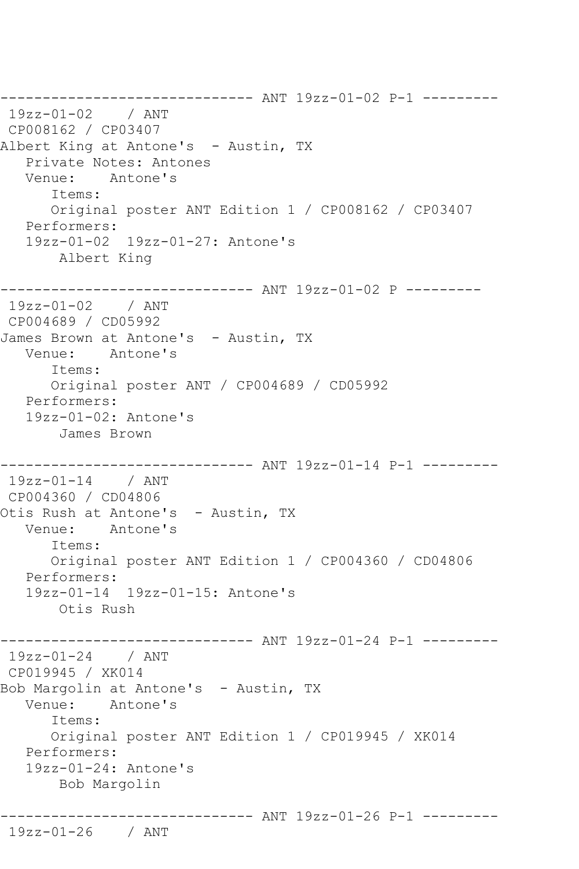------------------------------ ANT 19zz-01-02 P-1 --------- 19zz-01-02 / ANT CP008162 / CP03407 Albert King at Antone's - Austin, TX Private Notes: Antones Venue: Antone's Items: Original poster ANT Edition 1 / CP008162 / CP03407 Performers: 19zz-01-02 19zz-01-27: Antone's Albert King ------------------------------ ANT 19zz-01-02 P --------- 19zz-01-02 / ANT CP004689 / CD05992 James Brown at Antone's - Austin, TX Venue: Antone's Items: Original poster ANT / CP004689 / CD05992 Performers: 19zz-01-02: Antone's James Brown ------------------------------ ANT 19zz-01-14 P-1 --------- 19zz-01-14 / ANT CP004360 / CD04806 Otis Rush at Antone's - Austin, TX Venue: Antone's Items: Original poster ANT Edition 1 / CP004360 / CD04806 Performers: 19zz-01-14 19zz-01-15: Antone's Otis Rush ---------- ANT 19zz-01-24 P-1 ---------19zz-01-24 / ANT CP019945 / XK014 Bob Margolin at Antone's - Austin, TX Venue: Antone's Items: Original poster ANT Edition 1 / CP019945 / XK014 Performers: 19zz-01-24: Antone's Bob Margolin ------------------------------ ANT 19zz-01-26 P-1 --------- 19zz-01-26 / ANT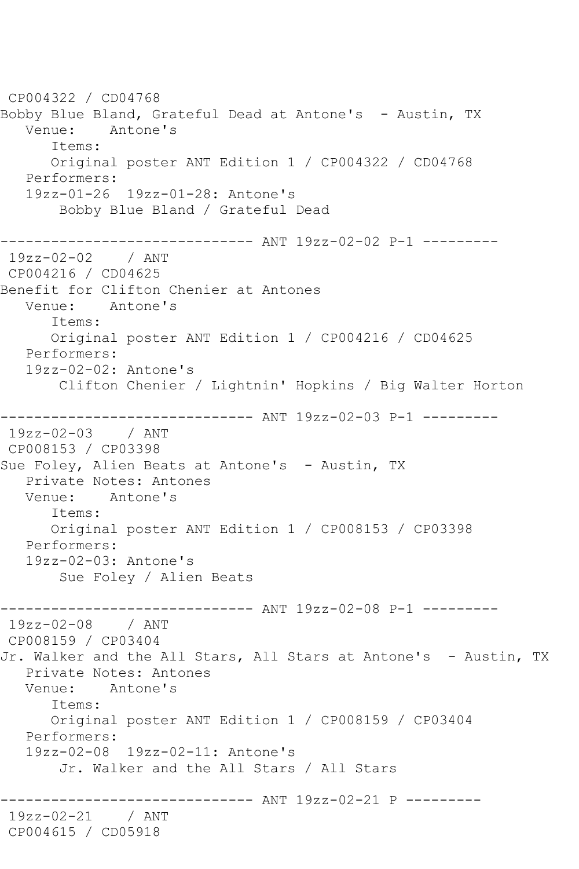CP004322 / CD04768 Bobby Blue Bland, Grateful Dead at Antone's - Austin, TX Venue: Antone's Items: Original poster ANT Edition 1 / CP004322 / CD04768 Performers: 19zz-01-26 19zz-01-28: Antone's Bobby Blue Bland / Grateful Dead ------------------------------ ANT 19zz-02-02 P-1 --------- 19zz-02-02 / ANT CP004216 / CD04625 Benefit for Clifton Chenier at Antones<br>Venue: Antone's Antone's Items: Original poster ANT Edition 1 / CP004216 / CD04625 Performers: 19zz-02-02: Antone's Clifton Chenier / Lightnin' Hopkins / Big Walter Horton ------------------------------ ANT 19zz-02-03 P-1 --------- 19zz-02-03 / ANT CP008153 / CP03398 Sue Foley, Alien Beats at Antone's - Austin, TX Private Notes: Antones Venue: Antone's Items: Original poster ANT Edition 1 / CP008153 / CP03398 Performers: 19zz-02-03: Antone's Sue Foley / Alien Beats ------------------------------ ANT 19zz-02-08 P-1 --------- 19zz-02-08 / ANT CP008159 / CP03404 Jr. Walker and the All Stars, All Stars at Antone's - Austin, TX Private Notes: Antones Venue: Antone's Items: Original poster ANT Edition 1 / CP008159 / CP03404 Performers: 19zz-02-08 19zz-02-11: Antone's Jr. Walker and the All Stars / All Stars ------------------------------ ANT 19zz-02-21 P --------- 19zz-02-21 / ANT CP004615 / CD05918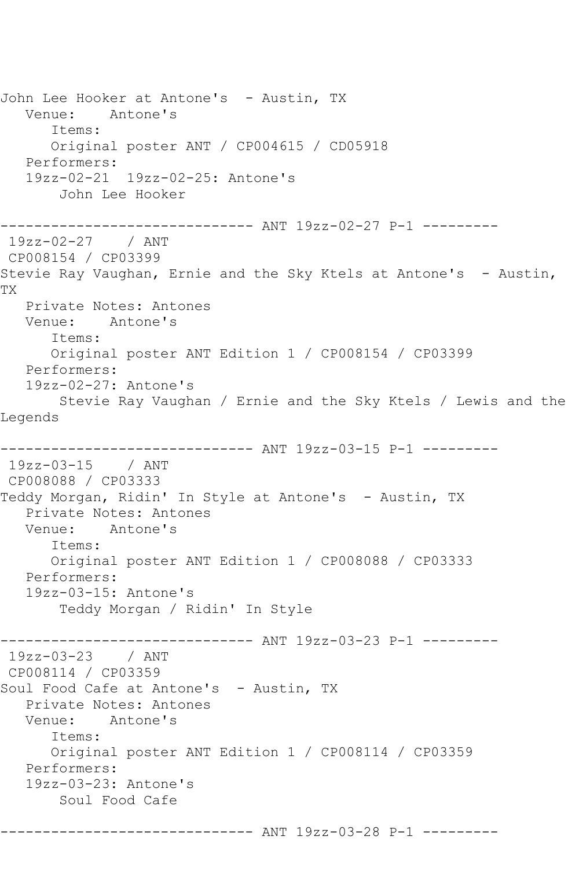John Lee Hooker at Antone's - Austin, TX Venue: Antone's Items: Original poster ANT / CP004615 / CD05918 Performers: 19zz-02-21 19zz-02-25: Antone's John Lee Hooker ------------------------------ ANT 19zz-02-27 P-1 --------- 19zz-02-27 / ANT CP008154 / CP03399 Stevie Ray Vaughan, Ernie and the Sky Ktels at Antone's - Austin, TX Private Notes: Antones Venue: Antone's Items: Original poster ANT Edition 1 / CP008154 / CP03399 Performers: 19zz-02-27: Antone's Stevie Ray Vaughan / Ernie and the Sky Ktels / Lewis and the Legends ------------------------------ ANT 19zz-03-15 P-1 --------- 19zz-03-15 / ANT CP008088 / CP03333 Teddy Morgan, Ridin' In Style at Antone's - Austin, TX Private Notes: Antones Venue: Antone's Items: Original poster ANT Edition 1 / CP008088 / CP03333 Performers: 19zz-03-15: Antone's Teddy Morgan / Ridin' In Style ----------- ANT 19zz-03-23 P-1 ---------19zz-03-23 / ANT CP008114 / CP03359 Soul Food Cafe at Antone's - Austin, TX Private Notes: Antones Venue: Antone's Items: Original poster ANT Edition 1 / CP008114 / CP03359 Performers: 19zz-03-23: Antone's Soul Food Cafe ------------------------------ ANT 19zz-03-28 P-1 ---------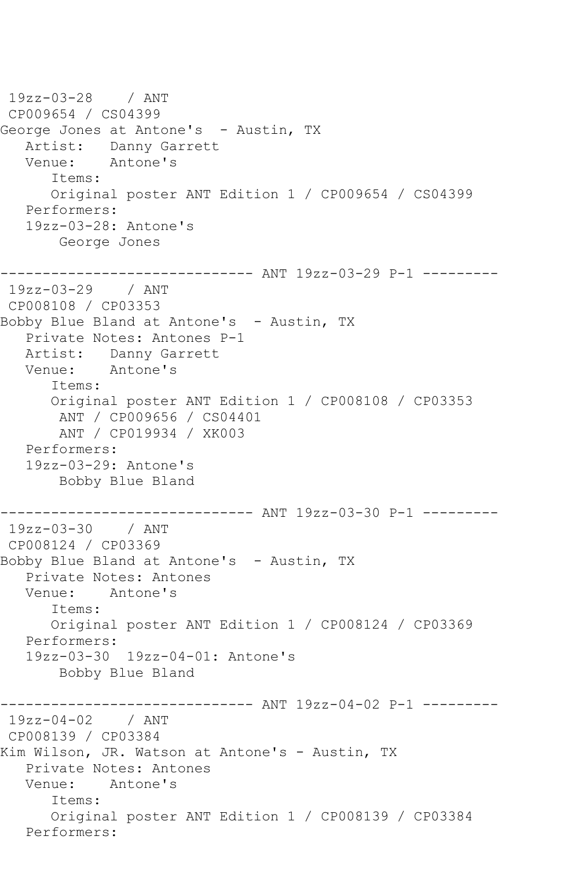```
19zz-03-28 / ANT 
CP009654 / CS04399
George Jones at Antone's - Austin, TX
  Artist: Danny Garrett<br>Venue: Antone's
            Antone's
       Items:
       Original poster ANT Edition 1 / CP009654 / CS04399
   Performers:
    19zz-03-28: Antone's
        George Jones
       ------------------------------ ANT 19zz-03-29 P-1 ---------
19zz-03-29 / ANT 
CP008108 / CP03353
Bobby Blue Bland at Antone's - Austin, TX
    Private Notes: Antones P-1
   Artist: Danny Garrett
   Venue: Antone's
       Items:
       Original poster ANT Edition 1 / CP008108 / CP03353
        ANT / CP009656 / CS04401
        ANT / CP019934 / XK003
   Performers:
    19zz-03-29: Antone's
        Bobby Blue Bland
------------------------------ ANT 19zz-03-30 P-1 ---------
19zz-03-30 / ANT 
CP008124 / CP03369
Bobby Blue Bland at Antone's - Austin, TX
  Private Notes: Antones<br>Venue: Antone's
           Antone's
       Items:
       Original poster ANT Edition 1 / CP008124 / CP03369
    Performers:
    19zz-03-30 19zz-04-01: Antone's
        Bobby Blue Bland
                ------------------------------ ANT 19zz-04-02 P-1 ---------
19zz-04-02 / ANT 
CP008139 / CP03384
Kim Wilson, JR. Watson at Antone's - Austin, TX
   Private Notes: Antones
   Venue: Antone's
       Items:
       Original poster ANT Edition 1 / CP008139 / CP03384
   Performers:
```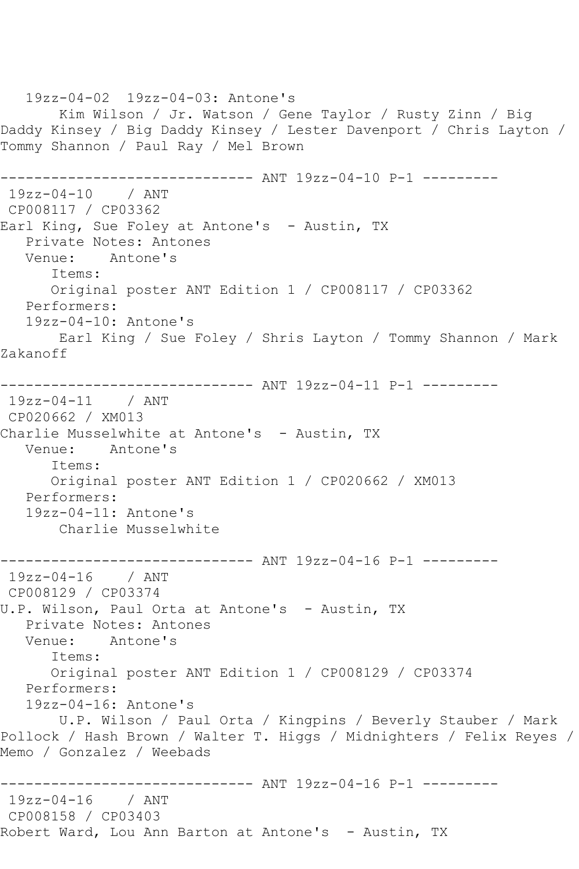19zz-04-02 19zz-04-03: Antone's Kim Wilson / Jr. Watson / Gene Taylor / Rusty Zinn / Big Daddy Kinsey / Big Daddy Kinsey / Lester Davenport / Chris Layton / Tommy Shannon / Paul Ray / Mel Brown ------------------------------ ANT 19zz-04-10 P-1 --------- 19zz-04-10 / ANT CP008117 / CP03362 Earl King, Sue Foley at Antone's - Austin, TX Private Notes: Antones<br>Venue: Antone's Antone's Items: Original poster ANT Edition 1 / CP008117 / CP03362 Performers: 19zz-04-10: Antone's Earl King / Sue Foley / Shris Layton / Tommy Shannon / Mark Zakanoff ------------------------------ ANT 19zz-04-11 P-1 --------- 19zz-04-11 / ANT CP020662 / XM013 Charlie Musselwhite at Antone's - Austin, TX Venue: Antone's Items: Original poster ANT Edition 1 / CP020662 / XM013 Performers: 19zz-04-11: Antone's Charlie Musselwhite ------------------------------ ANT 19zz-04-16 P-1 --------- 19zz-04-16 / ANT CP008129 / CP03374 U.P. Wilson, Paul Orta at Antone's - Austin, TX Private Notes: Antones Venue: Antone's Items: Original poster ANT Edition 1 / CP008129 / CP03374 Performers: 19zz-04-16: Antone's U.P. Wilson / Paul Orta / Kingpins / Beverly Stauber / Mark Pollock / Hash Brown / Walter T. Higgs / Midnighters / Felix Reyes / Memo / Gonzalez / Weebads ------------------------------ ANT 19zz-04-16 P-1 --------- 19zz-04-16 / ANT CP008158 / CP03403 Robert Ward, Lou Ann Barton at Antone's - Austin, TX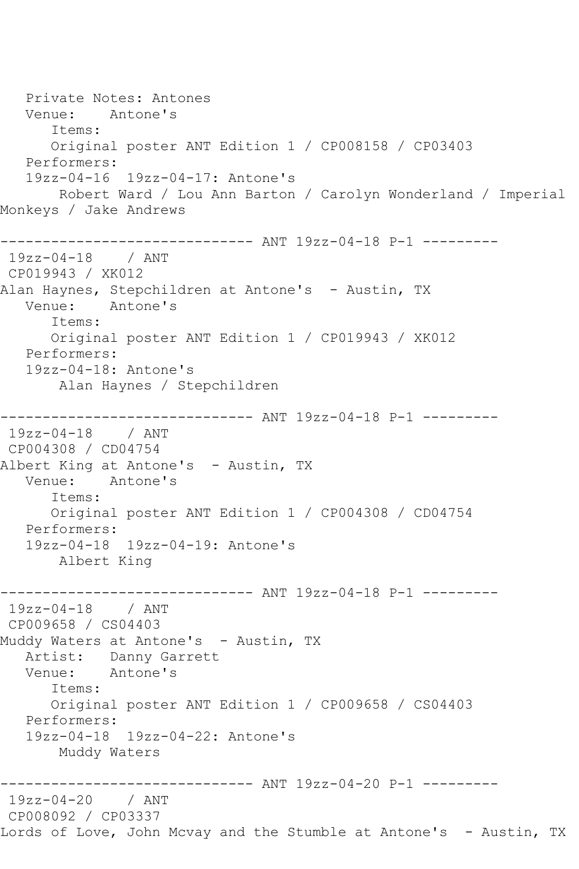Private Notes: Antones Venue: Antone's Items: Original poster ANT Edition 1 / CP008158 / CP03403 Performers: 19zz-04-16 19zz-04-17: Antone's Robert Ward / Lou Ann Barton / Carolyn Wonderland / Imperial Monkeys / Jake Andrews ------------------------------ ANT 19zz-04-18 P-1 --------- 19zz-04-18 / ANT CP019943 / XK012 Alan Haynes, Stepchildren at Antone's – Austin, TX<br>Venue: Antone's Antone's Items: Original poster ANT Edition 1 / CP019943 / XK012 Performers: 19zz-04-18: Antone's Alan Haynes / Stepchildren ------------------------------ ANT 19zz-04-18 P-1 --------- 19zz-04-18 / ANT CP004308 / CD04754 Albert King at Antone's - Austin, TX Venue: Antone's Items: Original poster ANT Edition 1 / CP004308 / CD04754 Performers: 19zz-04-18 19zz-04-19: Antone's Albert King ------------------------------ ANT 19zz-04-18 P-1 --------- 19zz-04-18 / ANT CP009658 / CS04403 Muddy Waters at Antone's - Austin, TX Artist: Danny Garrett<br>Venue: Antone's Antone's Items: Original poster ANT Edition 1 / CP009658 / CS04403 Performers: 19zz-04-18 19zz-04-22: Antone's Muddy Waters ----------- ANT 19zz-04-20 P-1 ---------19zz-04-20 / ANT CP008092 / CP03337 Lords of Love, John Mcvay and the Stumble at Antone's - Austin, TX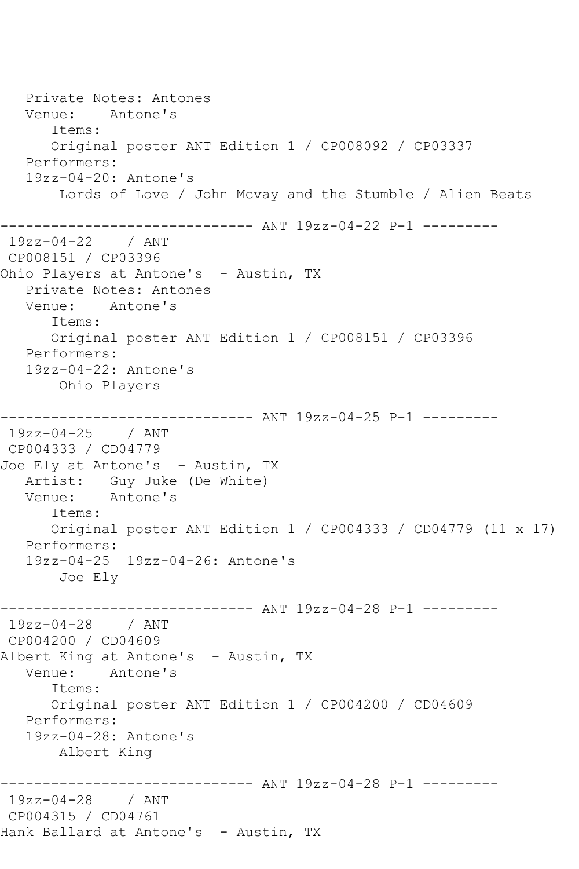Private Notes: Antones Venue: Antone's Items: Original poster ANT Edition 1 / CP008092 / CP03337 Performers: 19zz-04-20: Antone's Lords of Love / John Mcvay and the Stumble / Alien Beats ------------------------------ ANT 19zz-04-22 P-1 --------- 19zz-04-22 / ANT CP008151 / CP03396 Ohio Players at Antone's - Austin, TX Private Notes: Antones Venue: Antone's Items: Original poster ANT Edition 1 / CP008151 / CP03396 Performers: 19zz-04-22: Antone's Ohio Players ------------------------------ ANT 19zz-04-25 P-1 --------- 19zz-04-25 / ANT CP004333 / CD04779 Joe Ely at Antone's - Austin, TX Artist: Guy Juke (De White)<br>Venue: Antone's Antone's Items: Original poster ANT Edition 1 / CP004333 / CD04779 (11 x 17) Performers: 19zz-04-25 19zz-04-26: Antone's Joe Ely ------------------------------ ANT 19zz-04-28 P-1 --------- 19zz-04-28 / ANT CP004200 / CD04609 Albert King at Antone's - Austin, TX<br>Venue: Antone's Antone's Items: Original poster ANT Edition 1 / CP004200 / CD04609 Performers: 19zz-04-28: Antone's Albert King ------------------------------ ANT 19zz-04-28 P-1 --------- 19zz-04-28 / ANT CP004315 / CD04761 Hank Ballard at Antone's - Austin, TX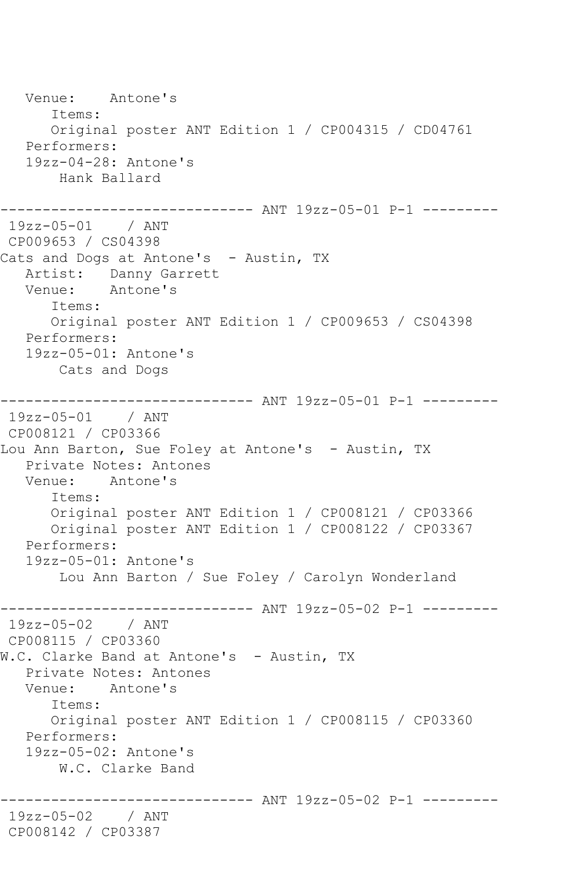Venue: Antone's Items: Original poster ANT Edition 1 / CP004315 / CD04761 Performers: 19zz-04-28: Antone's Hank Ballard ------------------------------ ANT 19zz-05-01 P-1 --------- 19zz-05-01 / ANT CP009653 / CS04398 Cats and Dogs at Antone's - Austin, TX Artist: Danny Garrett<br>Venue: Antone's Antone's Items: Original poster ANT Edition 1 / CP009653 / CS04398 Performers: 19zz-05-01: Antone's Cats and Dogs ------------------------------ ANT 19zz-05-01 P-1 --------- 19zz-05-01 / ANT CP008121 / CP03366 Lou Ann Barton, Sue Foley at Antone's - Austin, TX Private Notes: Antones Venue: Antone's Items: Original poster ANT Edition 1 / CP008121 / CP03366 Original poster ANT Edition 1 / CP008122 / CP03367 Performers: 19zz-05-01: Antone's Lou Ann Barton / Sue Foley / Carolyn Wonderland ------------------------------- ANT 19zz-05-02 P-1 ----------<br>19zz-05-02 / ANT  $19zz-05-02$ CP008115 / CP03360 W.C. Clarke Band at Antone's - Austin, TX Private Notes: Antones Venue: Antone's Items: Original poster ANT Edition 1 / CP008115 / CP03360 Performers: 19zz-05-02: Antone's W.C. Clarke Band ------------------------------ ANT 19zz-05-02 P-1 --------- 19zz-05-02 / ANT CP008142 / CP03387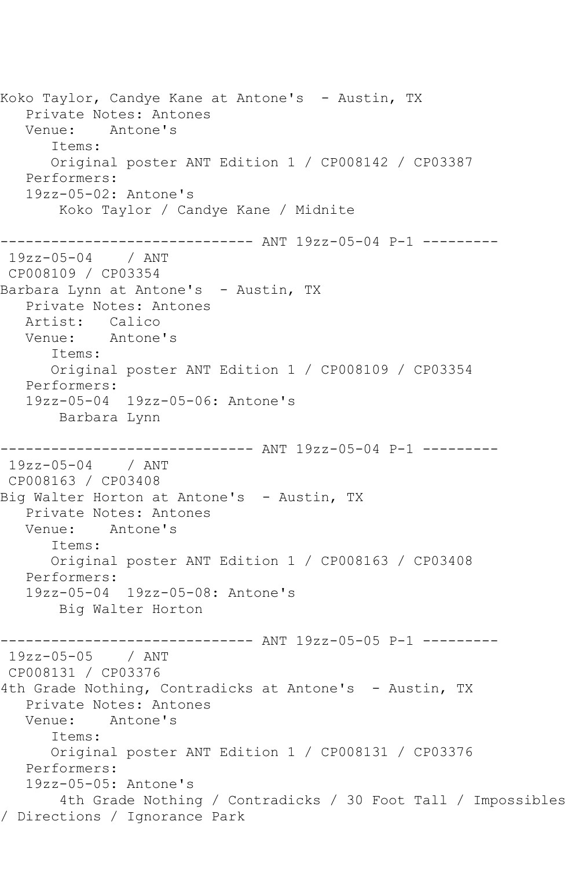Koko Taylor, Candye Kane at Antone's - Austin, TX Private Notes: Antones Venue: Antone's Items: Original poster ANT Edition 1 / CP008142 / CP03387 Performers: 19zz-05-02: Antone's Koko Taylor / Candye Kane / Midnite ------------------------------ ANT 19zz-05-04 P-1 --------- 19zz-05-04 / ANT CP008109 / CP03354 Barbara Lynn at Antone's - Austin, TX Private Notes: Antones Artist: Calico Venue: Antone's Items: Original poster ANT Edition 1 / CP008109 / CP03354 Performers: 19zz-05-04 19zz-05-06: Antone's Barbara Lynn ------------------------------ ANT 19zz-05-04 P-1 --------- 19zz-05-04 / ANT CP008163 / CP03408 Big Walter Horton at Antone's - Austin, TX Private Notes: Antones Venue: Antone's Items: Original poster ANT Edition 1 / CP008163 / CP03408 Performers: 19zz-05-04 19zz-05-08: Antone's Big Walter Horton ------------------------------ ANT 19zz-05-05 P-1 --------- 19zz-05-05 / ANT CP008131 / CP03376 4th Grade Nothing, Contradicks at Antone's - Austin, TX Private Notes: Antones Venue: Antone's Items: Original poster ANT Edition 1 / CP008131 / CP03376 Performers: 19zz-05-05: Antone's 4th Grade Nothing / Contradicks / 30 Foot Tall / Impossibles / Directions / Ignorance Park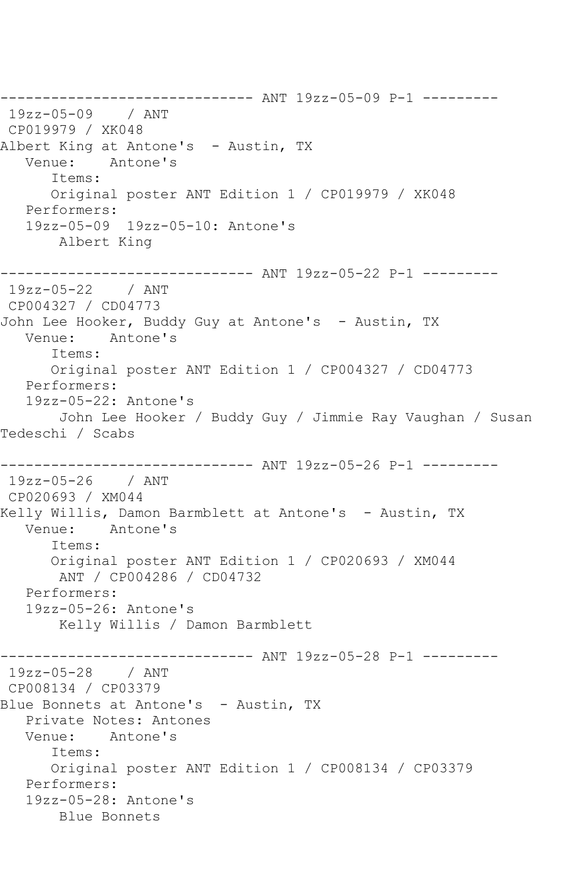------------------------------ ANT 19zz-05-09 P-1 --------- 19zz-05-09 / ANT CP019979 / XK048 Albert King at Antone's - Austin, TX<br>Venue: Antone's Antone's Items: Original poster ANT Edition 1 / CP019979 / XK048 Performers: 19zz-05-09 19zz-05-10: Antone's Albert King ------------------------------ ANT 19zz-05-22 P-1 --------- 19zz-05-22 / ANT CP004327 / CD04773 John Lee Hooker, Buddy Guy at Antone's - Austin, TX Venue: Antone's Items: Original poster ANT Edition 1 / CP004327 / CD04773 Performers: 19zz-05-22: Antone's John Lee Hooker / Buddy Guy / Jimmie Ray Vaughan / Susan Tedeschi / Scabs ------------------------------ ANT 19zz-05-26 P-1 --------- 19zz-05-26 / ANT CP020693 / XM044 Kelly Willis, Damon Barmblett at Antone's - Austin, TX Venue: Antone's Items: Original poster ANT Edition 1 / CP020693 / XM044 ANT / CP004286 / CD04732 Performers: 19zz-05-26: Antone's Kelly Willis / Damon Barmblett ------------------------------ ANT 19zz-05-28 P-1 --------- 19zz-05-28 / ANT CP008134 / CP03379 Blue Bonnets at Antone's - Austin, TX Private Notes: Antones Venue: Antone's Items: Original poster ANT Edition 1 / CP008134 / CP03379 Performers: 19zz-05-28: Antone's Blue Bonnets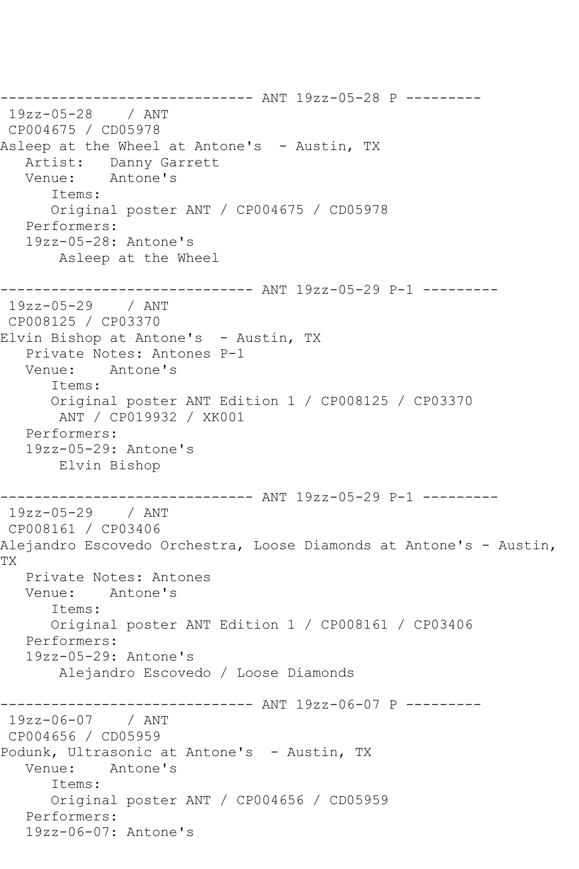------------------------------ ANT 19zz-05-28 P --------- 19zz-05-28 / ANT CP004675 / CD05978 Asleep at the Wheel at Antone's - Austin, TX Artist: Danny Garrett Venue: Antone's Items: Original poster ANT / CP004675 / CD05978 Performers: 19zz-05-28: Antone's Asleep at the Wheel ------------------------------ ANT 19zz-05-29 P-1 --------- 19zz-05-29 / ANT CP008125 / CP03370 Elvin Bishop at Antone's - Austin, TX Private Notes: Antones P-1 Venue: Antone's Items: Original poster ANT Edition 1 / CP008125 / CP03370 ANT / CP019932 / XK001 Performers: 19zz-05-29: Antone's Elvin Bishop ------------------------------ ANT 19zz-05-29 P-1 --------- 19zz-05-29 / ANT CP008161 / CP03406 Alejandro Escovedo Orchestra, Loose Diamonds at Antone's - Austin, TX Private Notes: Antones Venue: Antone's Items: Original poster ANT Edition 1 / CP008161 / CP03406 Performers: 19zz-05-29: Antone's Alejandro Escovedo / Loose Diamonds ------------------------------ ANT 19zz-06-07 P --------- 19zz-06-07 / ANT CP004656 / CD05959 Podunk, Ultrasonic at Antone's - Austin, TX Venue: Antone's Items: Original poster ANT / CP004656 / CD05959 Performers: 19zz-06-07: Antone's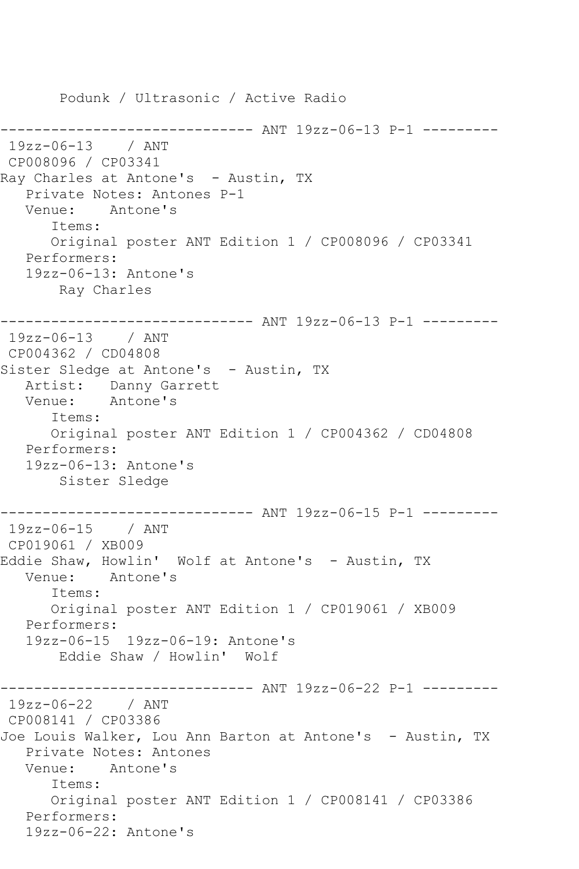Podunk / Ultrasonic / Active Radio ------------------------------ ANT 19zz-06-13 P-1 --------- 19zz-06-13 / ANT CP008096 / CP03341 Ray Charles at Antone's - Austin, TX Private Notes: Antones P-1 Venue: Antone's Items: Original poster ANT Edition 1 / CP008096 / CP03341 Performers: 19zz-06-13: Antone's Ray Charles ------------------------------ ANT 19zz-06-13 P-1 --------- 19zz-06-13 / ANT CP004362 / CD04808 Sister Sledge at Antone's - Austin, TX Artist: Danny Garrett<br>Venue: Antone's Antone's Items: Original poster ANT Edition 1 / CP004362 / CD04808 Performers: 19zz-06-13: Antone's Sister Sledge ------------------------------ ANT 19zz-06-15 P-1 --------- 19zz-06-15 / ANT CP019061 / XB009 Eddie Shaw, Howlin' Wolf at Antone's - Austin, TX Venue: Antone's Items: Original poster ANT Edition 1 / CP019061 / XB009 Performers: 19zz-06-15 19zz-06-19: Antone's Eddie Shaw / Howlin' Wolf ----------- ANT 19zz-06-22 P-1 ---------19zz-06-22 / ANT CP008141 / CP03386 Joe Louis Walker, Lou Ann Barton at Antone's - Austin, TX Private Notes: Antones Venue: Antone's Items: Original poster ANT Edition 1 / CP008141 / CP03386 Performers: 19zz-06-22: Antone's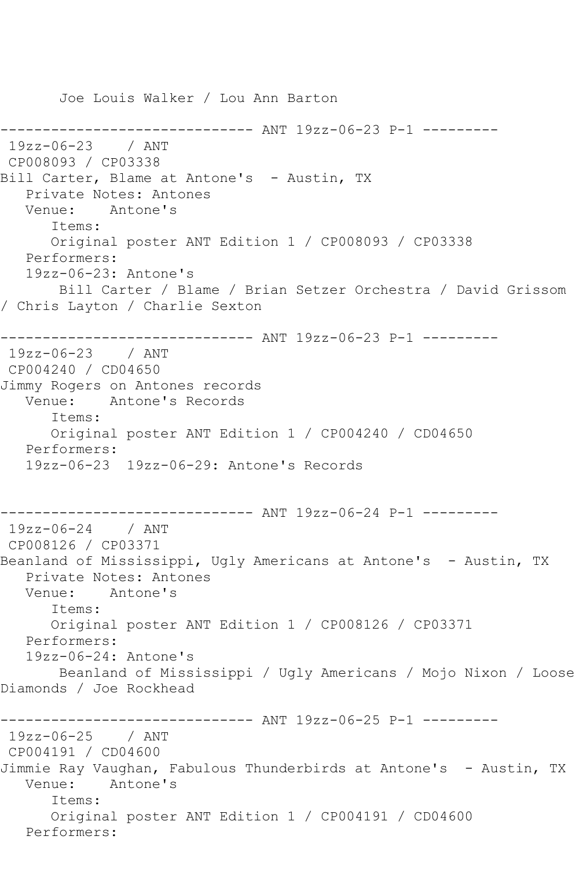Joe Louis Walker / Lou Ann Barton ------------------------------ ANT 19zz-06-23 P-1 --------- 19zz-06-23 / ANT CP008093 / CP03338 Bill Carter, Blame at Antone's - Austin, TX Private Notes: Antones Venue: Antone's Items: Original poster ANT Edition 1 / CP008093 / CP03338 Performers: 19zz-06-23: Antone's Bill Carter / Blame / Brian Setzer Orchestra / David Grissom / Chris Layton / Charlie Sexton ------------------------------ ANT 19zz-06-23 P-1 --------- 19zz-06-23 / ANT CP004240 / CD04650 Jimmy Rogers on Antones records Venue: Antone's Records Items: Original poster ANT Edition 1 / CP004240 / CD04650 Performers: 19zz-06-23 19zz-06-29: Antone's Records ------------------------------ ANT 19zz-06-24 P-1 --------- 19zz-06-24 / ANT CP008126 / CP03371 Beanland of Mississippi, Ugly Americans at Antone's - Austin, TX Private Notes: Antones<br>Venue: Antone's Antone's Items: Original poster ANT Edition 1 / CP008126 / CP03371 Performers: 19zz-06-24: Antone's Beanland of Mississippi / Ugly Americans / Mojo Nixon / Loose Diamonds / Joe Rockhead ------------------------------ ANT 19zz-06-25 P-1 --------- 19zz-06-25 / ANT CP004191 / CD04600 Jimmie Ray Vaughan, Fabulous Thunderbirds at Antone's - Austin, TX Venue: Antone's Items: Original poster ANT Edition 1 / CP004191 / CD04600 Performers: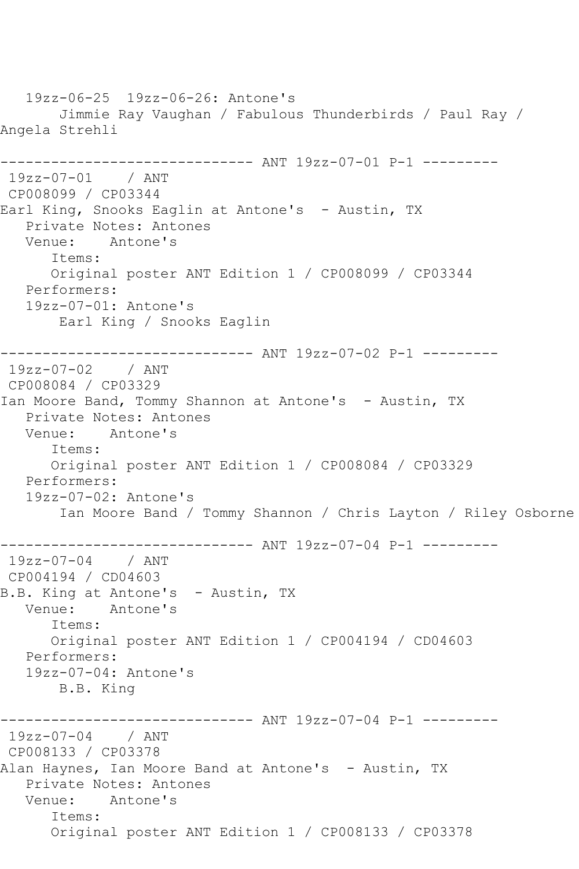19zz-06-25 19zz-06-26: Antone's Jimmie Ray Vaughan / Fabulous Thunderbirds / Paul Ray / Angela Strehli ------------------------------ ANT 19zz-07-01 P-1 --------- 19zz-07-01 / ANT CP008099 / CP03344 Earl King, Snooks Eaglin at Antone's - Austin, TX Private Notes: Antones Venue: Antone's Items: Original poster ANT Edition 1 / CP008099 / CP03344 Performers: 19zz-07-01: Antone's Earl King / Snooks Eaglin ------------------------------ ANT 19zz-07-02 P-1 --------- 19zz-07-02 / ANT CP008084 / CP03329 Ian Moore Band, Tommy Shannon at Antone's - Austin, TX Private Notes: Antones Venue: Antone's Items: Original poster ANT Edition 1 / CP008084 / CP03329 Performers: 19zz-07-02: Antone's Ian Moore Band / Tommy Shannon / Chris Layton / Riley Osborne ------------------------------ ANT 19zz-07-04 P-1 --------- 19zz-07-04 / ANT CP004194 / CD04603 B.B. King at Antone's - Austin, TX<br>Venue: Antone's Antone's Items: Original poster ANT Edition 1 / CP004194 / CD04603 Performers: 19zz-07-04: Antone's B.B. King ------------------------------ ANT 19zz-07-04 P-1 --------- 19zz-07-04 / ANT CP008133 / CP03378 Alan Haynes, Ian Moore Band at Antone's - Austin, TX Private Notes: Antones Venue: Antone's Items: Original poster ANT Edition 1 / CP008133 / CP03378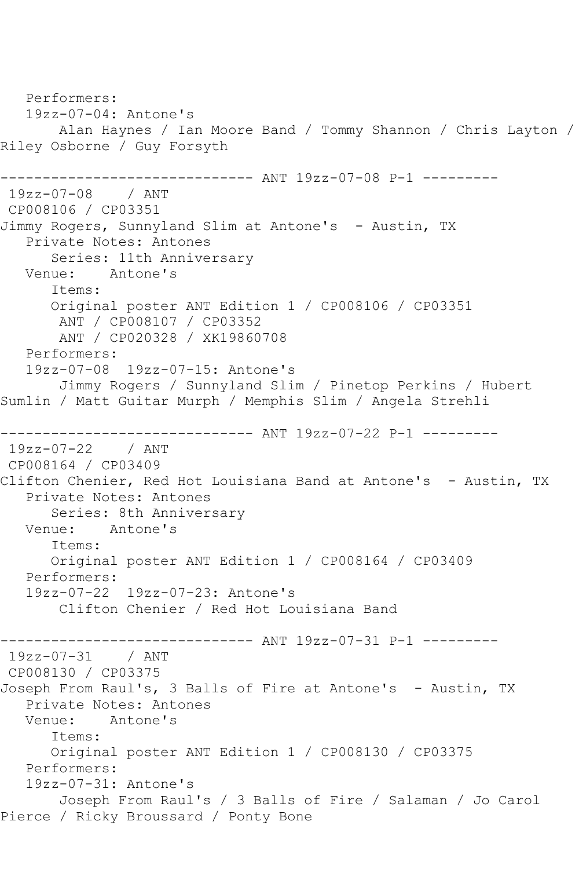Performers: 19zz-07-04: Antone's Alan Haynes / Ian Moore Band / Tommy Shannon / Chris Layton / Riley Osborne / Guy Forsyth ------------------------------ ANT 19zz-07-08 P-1 --------- 19zz-07-08 / ANT CP008106 / CP03351 Jimmy Rogers, Sunnyland Slim at Antone's - Austin, TX Private Notes: Antones Series: 11th Anniversary Venue: Antone's Items: Original poster ANT Edition 1 / CP008106 / CP03351 ANT / CP008107 / CP03352 ANT / CP020328 / XK19860708 Performers: 19zz-07-08 19zz-07-15: Antone's Jimmy Rogers / Sunnyland Slim / Pinetop Perkins / Hubert Sumlin / Matt Guitar Murph / Memphis Slim / Angela Strehli ------------------------------ ANT 19zz-07-22 P-1 --------- 19zz-07-22 / ANT CP008164 / CP03409 Clifton Chenier, Red Hot Louisiana Band at Antone's - Austin, TX Private Notes: Antones Series: 8th Anniversary Venue: Antone's Items: Original poster ANT Edition 1 / CP008164 / CP03409 Performers: 19zz-07-22 19zz-07-23: Antone's Clifton Chenier / Red Hot Louisiana Band ------------ ANT 19zz-07-31 P-1 ---------19zz-07-31 / ANT CP008130 / CP03375 Joseph From Raul's, 3 Balls of Fire at Antone's - Austin, TX Private Notes: Antones Venue: Antone's Items: Original poster ANT Edition 1 / CP008130 / CP03375 Performers: 19zz-07-31: Antone's Joseph From Raul's / 3 Balls of Fire / Salaman / Jo Carol Pierce / Ricky Broussard / Ponty Bone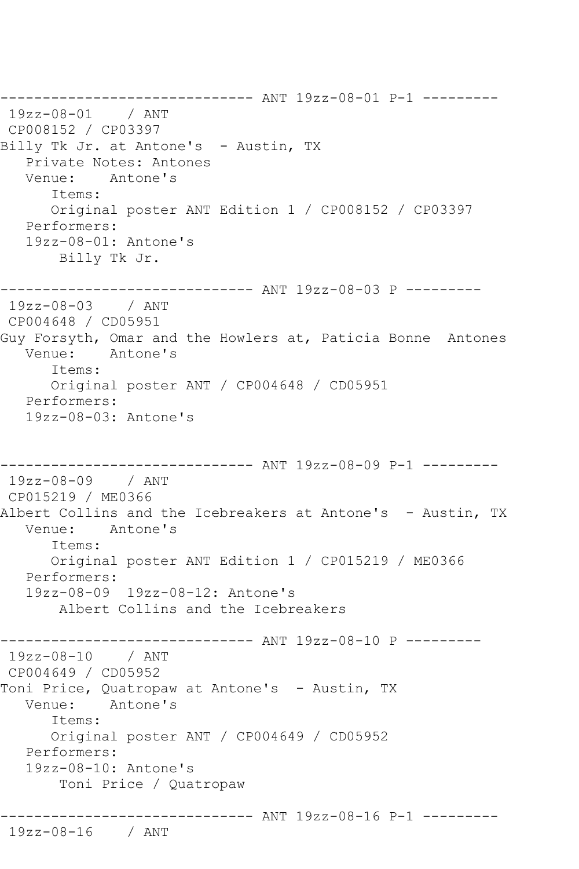------------------------------ ANT 19zz-08-01 P-1 --------- 19zz-08-01 / ANT CP008152 / CP03397 Billy Tk Jr. at Antone's - Austin, TX Private Notes: Antones Venue: Antone's Items: Original poster ANT Edition 1 / CP008152 / CP03397 Performers: 19zz-08-01: Antone's Billy Tk Jr. ------------------------------ ANT 19zz-08-03 P --------- 19zz-08-03 / ANT CP004648 / CD05951 Guy Forsyth, Omar and the Howlers at, Paticia Bonne Antones Venue: Antone's Items: Original poster ANT / CP004648 / CD05951 Performers: 19zz-08-03: Antone's ------------------------------ ANT 19zz-08-09 P-1 --------- 19zz-08-09 / ANT CP015219 / ME0366 Albert Collins and the Icebreakers at Antone's - Austin, TX Venue: Antone's Items: Original poster ANT Edition 1 / CP015219 / ME0366 Performers: 19zz-08-09 19zz-08-12: Antone's Albert Collins and the Icebreakers ------------------------------ ANT 19zz-08-10 P --------- 19zz-08-10 / ANT CP004649 / CD05952 Toni Price, Quatropaw at Antone's - Austin, TX Venue: Antone's Items: Original poster ANT / CP004649 / CD05952 Performers: 19zz-08-10: Antone's Toni Price / Quatropaw ------------------------------ ANT 19zz-08-16 P-1 --------- 19zz-08-16 / ANT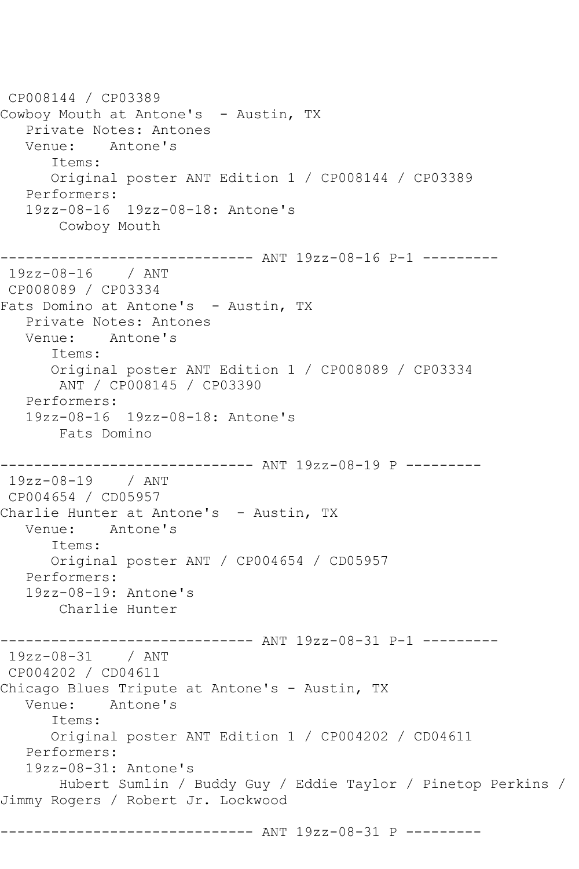CP008144 / CP03389 Cowboy Mouth at Antone's - Austin, TX Private Notes: Antones Venue: Antone's Items: Original poster ANT Edition 1 / CP008144 / CP03389 Performers: 19zz-08-16 19zz-08-18: Antone's Cowboy Mouth ------------------------------ ANT 19zz-08-16 P-1 --------- 19zz-08-16 / ANT CP008089 / CP03334 Fats Domino at Antone's - Austin, TX Private Notes: Antones Venue: Antone's Items: Original poster ANT Edition 1 / CP008089 / CP03334 ANT / CP008145 / CP03390 Performers: 19zz-08-16 19zz-08-18: Antone's Fats Domino ------------------------------ ANT 19zz-08-19 P --------- 19zz-08-19 / ANT CP004654 / CD05957 Charlie Hunter at Antone's - Austin, TX Venue: Antone's Items: Original poster ANT / CP004654 / CD05957 Performers: 19zz-08-19: Antone's Charlie Hunter ------------------------------ ANT 19zz-08-31 P-1 --------- 19zz-08-31 / ANT CP004202 / CD04611 Chicago Blues Tripute at Antone's - Austin, TX Venue: Antone's Items: Original poster ANT Edition 1 / CP004202 / CD04611 Performers: 19zz-08-31: Antone's Hubert Sumlin / Buddy Guy / Eddie Taylor / Pinetop Perkins / Jimmy Rogers / Robert Jr. Lockwood ------------------------------ ANT 19zz-08-31 P ---------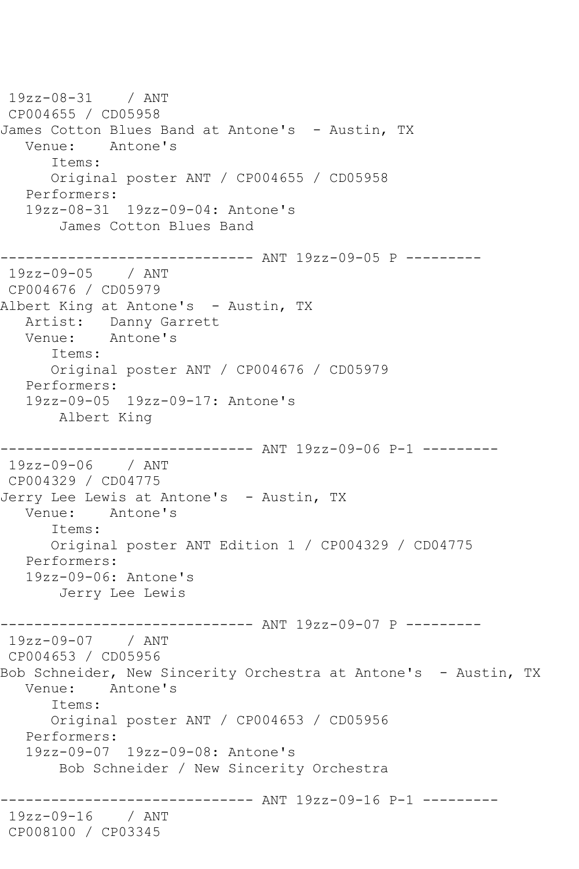19zz-08-31 / ANT CP004655 / CD05958 James Cotton Blues Band at Antone's - Austin, TX Venue: Antone's Items: Original poster ANT / CP004655 / CD05958 Performers: 19zz-08-31 19zz-09-04: Antone's James Cotton Blues Band ------------------------------ ANT 19zz-09-05 P --------- 19zz-09-05 / ANT CP004676 / CD05979 Albert King at Antone's - Austin, TX Artist: Danny Garrett Venue: Antone's Items: Original poster ANT / CP004676 / CD05979 Performers: 19zz-09-05 19zz-09-17: Antone's Albert King ------------------------------ ANT 19zz-09-06 P-1 --------- 19zz-09-06 / ANT CP004329 / CD04775 Jerry Lee Lewis at Antone's - Austin, TX<br>Venue: Antone's Antone's Items: Original poster ANT Edition 1 / CP004329 / CD04775 Performers: 19zz-09-06: Antone's Jerry Lee Lewis ------------------------------ ANT 19zz-09-07 P --------- 19zz-09-07 / ANT CP004653 / CD05956 Bob Schneider, New Sincerity Orchestra at Antone's - Austin, TX Venue: Antone's Items: Original poster ANT / CP004653 / CD05956 Performers: 19zz-09-07 19zz-09-08: Antone's Bob Schneider / New Sincerity Orchestra ------------------------------ ANT 19zz-09-16 P-1 --------- 19zz-09-16 / ANT CP008100 / CP03345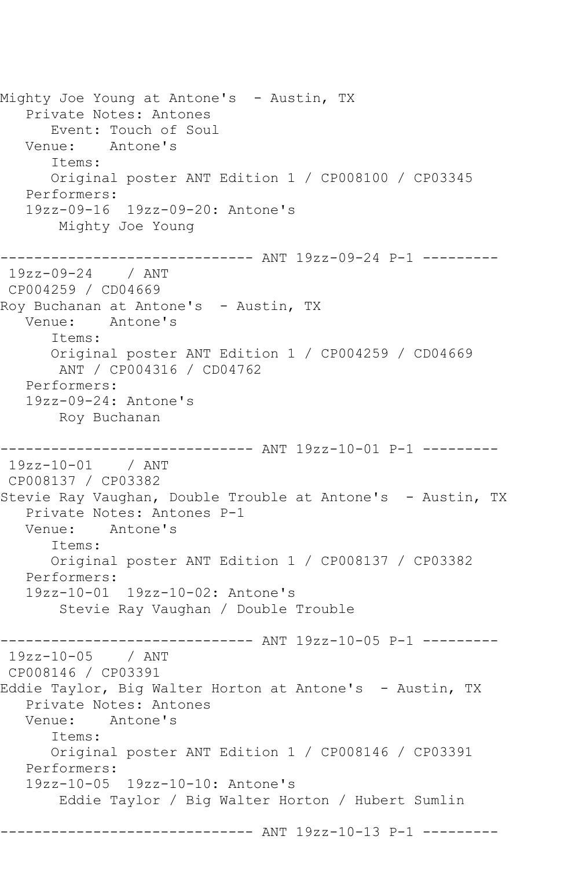Mighty Joe Young at Antone's - Austin, TX Private Notes: Antones Event: Touch of Soul Venue: Antone's Items: Original poster ANT Edition 1 / CP008100 / CP03345 Performers: 19zz-09-16 19zz-09-20: Antone's Mighty Joe Young ------------------------------ ANT 19zz-09-24 P-1 --------- 19zz-09-24 / ANT CP004259 / CD04669 Roy Buchanan at Antone's - Austin, TX Venue: Antone's Items: Original poster ANT Edition 1 / CP004259 / CD04669 ANT / CP004316 / CD04762 Performers: 19zz-09-24: Antone's Roy Buchanan ------------------------------ ANT 19zz-10-01 P-1 --------- 19zz-10-01 / ANT CP008137 / CP03382 Stevie Ray Vaughan, Double Trouble at Antone's - Austin, TX Private Notes: Antones P-1 Venue: Antone's Items: Original poster ANT Edition 1 / CP008137 / CP03382 Performers: 19zz-10-01 19zz-10-02: Antone's Stevie Ray Vaughan / Double Trouble ------------------------------ ANT 19zz-10-05 P-1 --------- 19zz-10-05 / ANT CP008146 / CP03391 Eddie Taylor, Big Walter Horton at Antone's - Austin, TX Private Notes: Antones<br>Venue: Antone's Antone's Items: Original poster ANT Edition 1 / CP008146 / CP03391 Performers: 19zz-10-05 19zz-10-10: Antone's Eddie Taylor / Big Walter Horton / Hubert Sumlin ----------------- ANT 19zz-10-13 P-1 ---------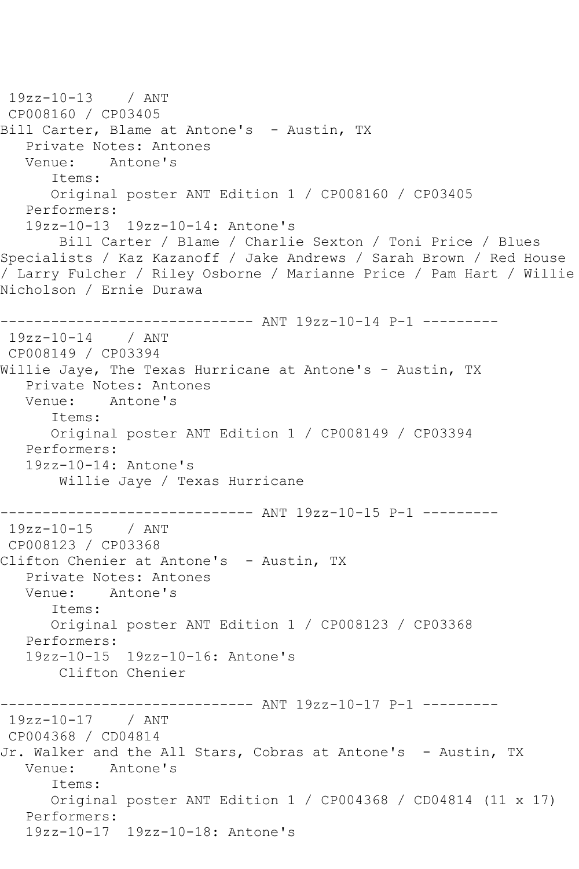```
19zz-10-13 / ANT 
CP008160 / CP03405
Bill Carter, Blame at Antone's - Austin, TX
  Private Notes: Antones<br>Venue: Antone's
           Antone's
      Items:
      Original poster ANT Edition 1 / CP008160 / CP03405
   Performers:
   19zz-10-13 19zz-10-14: Antone's
        Bill Carter / Blame / Charlie Sexton / Toni Price / Blues 
Specialists / Kaz Kazanoff / Jake Andrews / Sarah Brown / Red House 
/ Larry Fulcher / Riley Osborne / Marianne Price / Pam Hart / Willie 
Nicholson / Ernie Durawa
         ------------------------------ ANT 19zz-10-14 P-1 ---------
19zz-10-14 / ANT 
CP008149 / CP03394
Willie Jaye, The Texas Hurricane at Antone's - Austin, TX
   Private Notes: Antones
   Venue: Antone's
       Items:
      Original poster ANT Edition 1 / CP008149 / CP03394
   Performers:
   19zz-10-14: Antone's
        Willie Jaye / Texas Hurricane
------------------------------ ANT 19zz-10-15 P-1 ---------
19zz-10-15 / ANT 
CP008123 / CP03368
Clifton Chenier at Antone's - Austin, TX
   Private Notes: Antones
   Venue: Antone's
       Items:
      Original poster ANT Edition 1 / CP008123 / CP03368
   Performers:
   19zz-10-15 19zz-10-16: Antone's
        Clifton Chenier
------------------------------ ANT 19zz-10-17 P-1 ---------
19zz-10-17 / ANT 
CP004368 / CD04814
Jr. Walker and the All Stars, Cobras at Antone's - Austin, TX
   Venue: Antone's
       Items:
      Original poster ANT Edition 1 / CP004368 / CD04814 (11 x 17)
   Performers:
   19zz-10-17 19zz-10-18: Antone's
```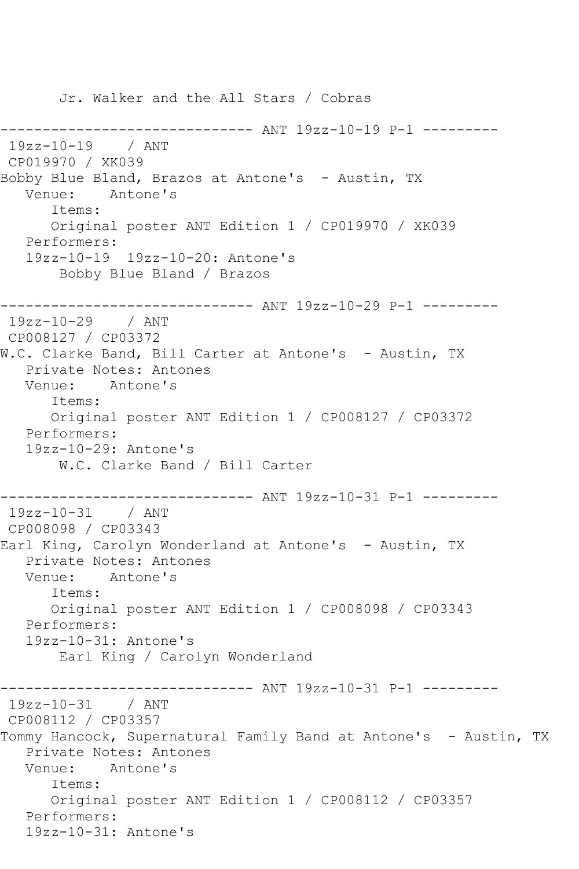Jr. Walker and the All Stars / Cobras ------------------------------ ANT 19zz-10-19 P-1 --------- 19zz-10-19 / ANT CP019970 / XK039 Bobby Blue Bland, Brazos at Antone's - Austin, TX Venue: Antone's Items: Original poster ANT Edition 1 / CP019970 / XK039 Performers: 19zz-10-19 19zz-10-20: Antone's Bobby Blue Bland / Brazos ------------------------------ ANT 19zz-10-29 P-1 --------- 19zz-10-29 / ANT CP008127 / CP03372 W.C. Clarke Band, Bill Carter at Antone's - Austin, TX Private Notes: Antones Venue: Antone's Items: Original poster ANT Edition 1 / CP008127 / CP03372 Performers: 19zz-10-29: Antone's W.C. Clarke Band / Bill Carter ------------------------------ ANT 19zz-10-31 P-1 --------- 19zz-10-31 / ANT CP008098 / CP03343 Earl King, Carolyn Wonderland at Antone's - Austin, TX Private Notes: Antones Venue: Antone's Items: Original poster ANT Edition 1 / CP008098 / CP03343 Performers: 19zz-10-31: Antone's Earl King / Carolyn Wonderland ------------------------------ ANT 19zz-10-31 P-1 --------- 19zz-10-31 / ANT CP008112 / CP03357 Tommy Hancock, Supernatural Family Band at Antone's - Austin, TX Private Notes: Antones Venue: Antone's Items: Original poster ANT Edition 1 / CP008112 / CP03357 Performers: 19zz-10-31: Antone's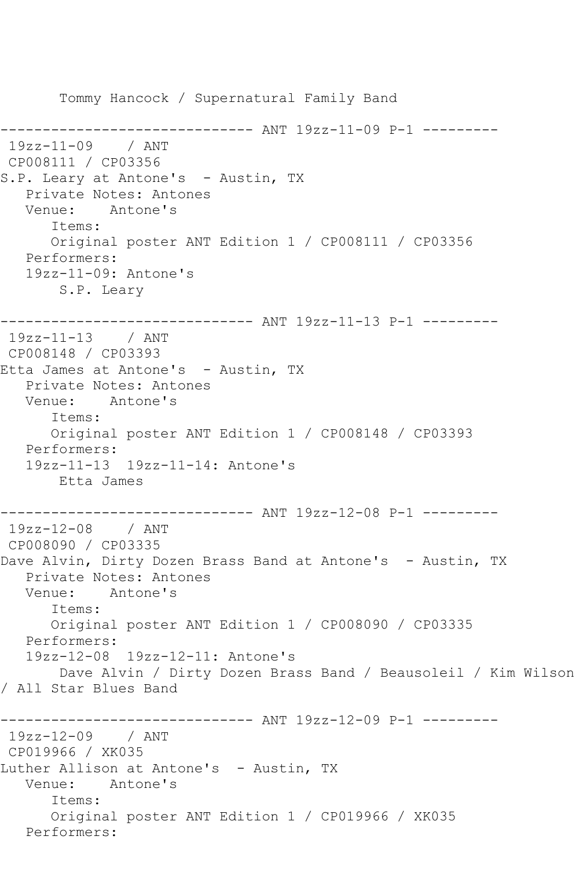Tommy Hancock / Supernatural Family Band ------------------------------ ANT 19zz-11-09 P-1 --------- 19zz-11-09 / ANT CP008111 / CP03356 S.P. Leary at Antone's - Austin, TX Private Notes: Antones Venue: Antone's Items: Original poster ANT Edition 1 / CP008111 / CP03356 Performers: 19zz-11-09: Antone's S.P. Leary ------------------------------ ANT 19zz-11-13 P-1 --------- 19zz-11-13 / ANT CP008148 / CP03393 Etta James at Antone's - Austin, TX Private Notes: Antones Venue: Antone's Items: Original poster ANT Edition 1 / CP008148 / CP03393 Performers: 19zz-11-13 19zz-11-14: Antone's Etta James ------------------------------ ANT 19zz-12-08 P-1 --------- 19zz-12-08 / ANT CP008090 / CP03335 Dave Alvin, Dirty Dozen Brass Band at Antone's - Austin, TX Private Notes: Antones Venue: Antone's Items: Original poster ANT Edition 1 / CP008090 / CP03335 Performers: 19zz-12-08 19zz-12-11: Antone's Dave Alvin / Dirty Dozen Brass Band / Beausoleil / Kim Wilson / All Star Blues Band ------------------------------ ANT 19zz-12-09 P-1 --------- 19zz-12-09 / ANT CP019966 / XK035 Luther Allison at Antone's - Austin, TX Venue: Antone's Items: Original poster ANT Edition 1 / CP019966 / XK035 Performers: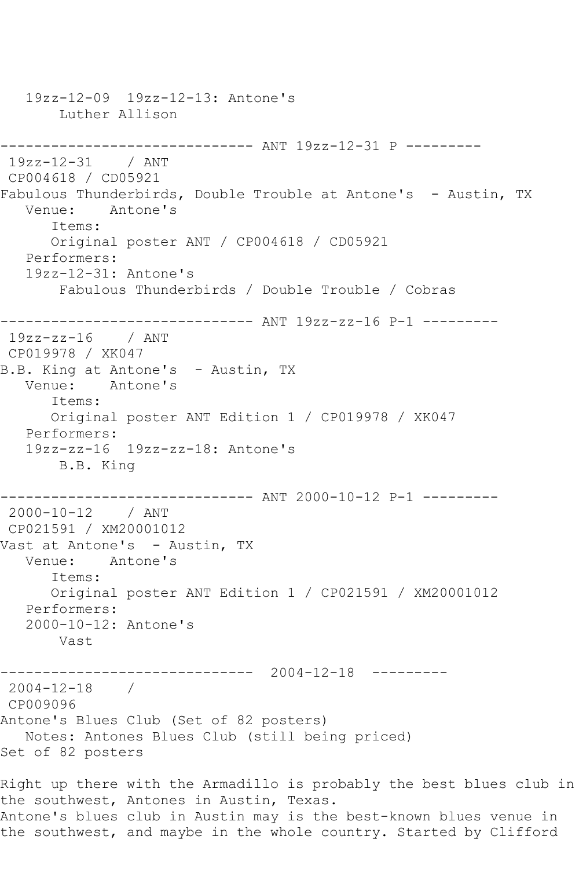19zz-12-09 19zz-12-13: Antone's Luther Allison ------------------------------ ANT 19zz-12-31 P --------- 19zz-12-31 / ANT CP004618 / CD05921 Fabulous Thunderbirds, Double Trouble at Antone's - Austin, TX Venue: Antone's Items: Original poster ANT / CP004618 / CD05921 Performers: 19zz-12-31: Antone's Fabulous Thunderbirds / Double Trouble / Cobras ------------------------------ ANT 19zz-zz-16 P-1 --------- 19zz-zz-16 / ANT CP019978 / XK047 B.B. King at Antone's - Austin, TX Venue: Antone's Items: Original poster ANT Edition 1 / CP019978 / XK047 Performers: 19zz-zz-16 19zz-zz-18: Antone's B.B. King ------------------------------ ANT 2000-10-12 P-1 --------- 2000-10-12 / ANT CP021591 / XM20001012 Vast at Antone's - Austin, TX Venue: Antone's Items: Original poster ANT Edition 1 / CP021591 / XM20001012 Performers: 2000-10-12: Antone's Vast ------------------------------ 2004-12-18 --------- 2004-12-18 / CP009096 Antone's Blues Club (Set of 82 posters) Notes: Antones Blues Club (still being priced) Set of 82 posters Right up there with the Armadillo is probably the best blues club in the southwest, Antones in Austin, Texas. Antone's blues club in Austin may is the best-known blues venue in

the southwest, and maybe in the whole country. Started by Clifford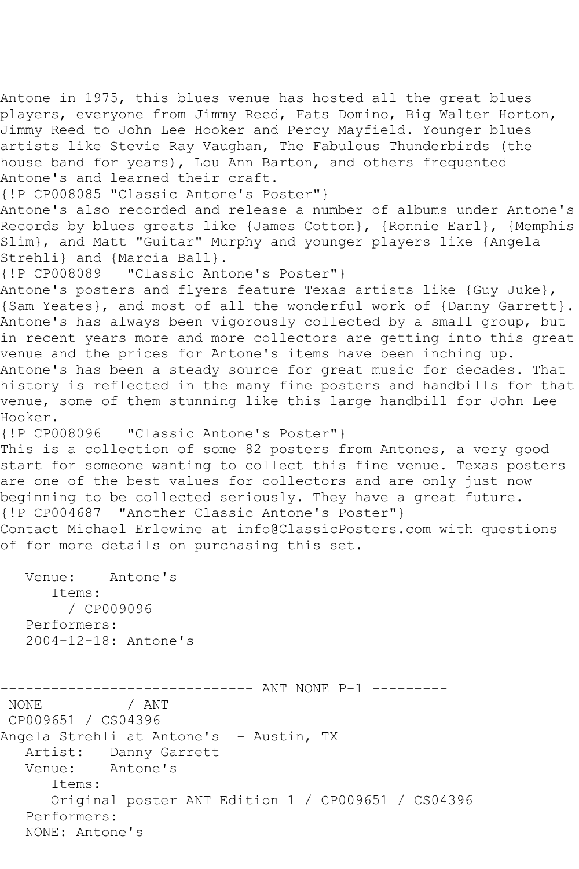players, everyone from Jimmy Reed, Fats Domino, Big Walter Horton, Jimmy Reed to John Lee Hooker and Percy Mayfield. Younger blues artists like Stevie Ray Vaughan, The Fabulous Thunderbirds (the house band for years), Lou Ann Barton, and others frequented Antone's and learned their craft. {!P CP008085 "Classic Antone's Poster"} Antone's also recorded and release a number of albums under Antone's Records by blues greats like {James Cotton}, {Ronnie Earl}, {Memphis Slim}, and Matt "Guitar" Murphy and younger players like {Angela Strehli} and {Marcia Ball}. {!P CP008089 "Classic Antone's Poster"} Antone's posters and flyers feature Texas artists like {Guy Juke}, {Sam Yeates}, and most of all the wonderful work of {Danny Garrett}. Antone's has always been vigorously collected by a small group, but in recent years more and more collectors are getting into this great venue and the prices for Antone's items have been inching up. Antone's has been a steady source for great music for decades. That history is reflected in the many fine posters and handbills for that venue, some of them stunning like this large handbill for John Lee Hooker. {!P CP008096 "Classic Antone's Poster"} This is a collection of some 82 posters from Antones, a very good start for someone wanting to collect this fine venue. Texas posters are one of the best values for collectors and are only just now beginning to be collected seriously. They have a great future. {!P CP004687 "Another Classic Antone's Poster"} Contact Michael Erlewine at info@ClassicPosters.com with questions of for more details on purchasing this set. Venue: Antone's Items: / CP009096 Performers: 2004-12-18: Antone's --------------------------------- ANT NONE P-1 ---------<br>NONE / ANT / ANT CP009651 / CS04396 Angela Strehli at Antone's - Austin, TX Artist: Danny Garrett<br>Venue: Antone's Antone's Items: Original poster ANT Edition 1 / CP009651 / CS04396 Performers: NONE: Antone's

Antone in 1975, this blues venue has hosted all the great blues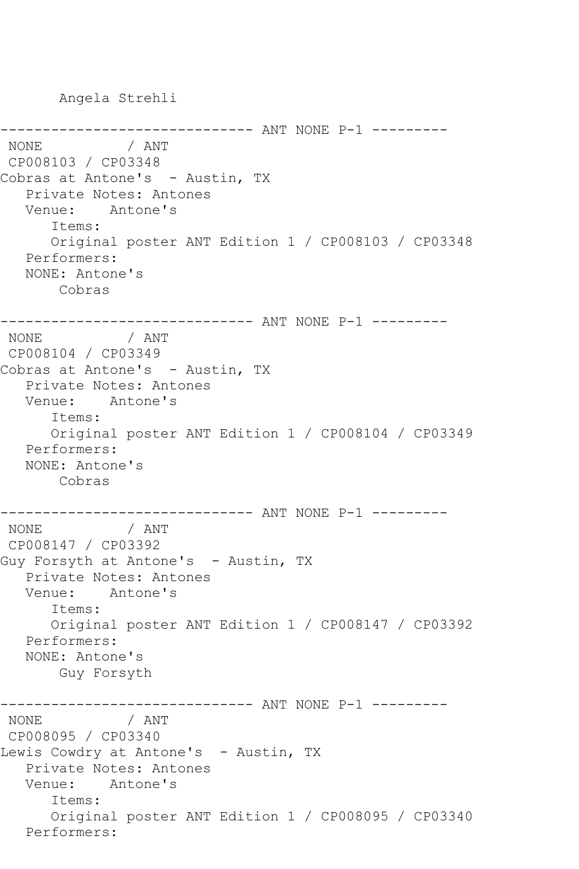Angela Strehli

```
------------------------------ ANT NONE P-1 ---------
               / ANT
CP008103 / CP03348
Cobras at Antone's - Austin, TX
   Private Notes: Antones
   Venue: Antone's
       Items:
       Original poster ANT Edition 1 / CP008103 / CP03348
   Performers:
   NONE: Antone's
       Cobras
------------------------------ ANT NONE P-1 ---------
NONE
CP008104 / CP03349
Cobras at Antone's - Austin, TX
   Private Notes: Antones
   Venue: Antone's
       Items:
       Original poster ANT Edition 1 / CP008104 / CP03349
   Performers:
   NONE: Antone's
       Cobras
---------------------------------- ANT NONE P-1 ----------<br>NONE / ANT
\mathop{\rm NONE}CP008147 / CP03392
Guy Forsyth at Antone's - Austin, TX
    Private Notes: Antones
   Venue: Antone's
       Items:
       Original poster ANT Edition 1 / CP008147 / CP03392
   Performers:
   NONE: Antone's
        Guy Forsyth
------------------------------ ANT NONE P-1 ---------
NONE but a
CP008095 / CP03340
Lewis Cowdry at Antone's - Austin, TX
   Private Notes: Antones
   Venue: Antone's
       Items:
       Original poster ANT Edition 1 / CP008095 / CP03340
   Performers:
```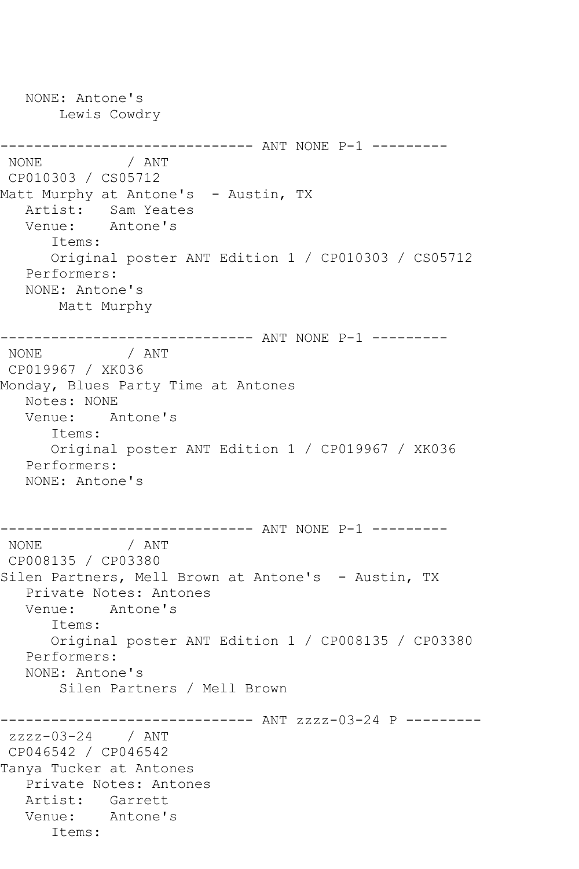NONE: Antone's Lewis Cowdry ------------------------------ ANT NONE P-1 --------- / ANT CP010303 / CS05712 Matt Murphy at Antone's - Austin, TX Artist: Sam Yeates Venue: Antone's Items: Original poster ANT Edition 1 / CP010303 / CS05712 Performers: NONE: Antone's Matt Murphy ------------------------------ ANT NONE P-1 --------- NONE / ANT CP019967 / XK036 Monday, Blues Party Time at Antones Notes: NONE Venue: Antone's Items: Original poster ANT Edition 1 / CP019967 / XK036 Performers: NONE: Antone's ------------------------------ ANT NONE P-1 ---------  $/$  ANT CP008135 / CP03380 Silen Partners, Mell Brown at Antone's - Austin, TX Private Notes: Antones Venue: Antone's Items: Original poster ANT Edition 1 / CP008135 / CP03380 Performers: NONE: Antone's Silen Partners / Mell Brown ------------------------------ ANT zzzz-03-24 P -------- zzzz-03-24 / ANT CP046542 / CP046542 Tanya Tucker at Antones Private Notes: Antones Artist: Garrett Venue: Antone's Items: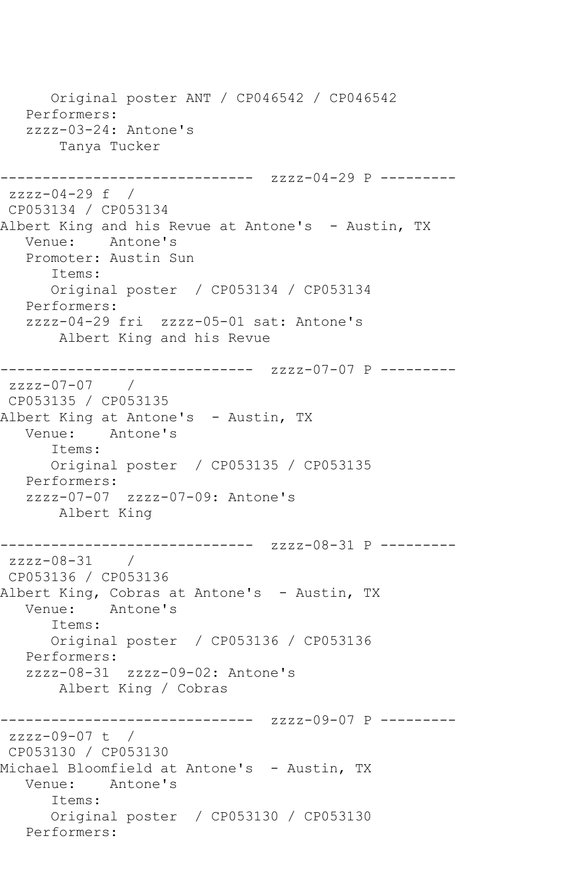Original poster ANT / CP046542 / CP046542 Performers: zzzz-03-24: Antone's Tanya Tucker ------------------------------ zzzz-04-29 P -------- zzzz-04-29 f / CP053134 / CP053134 Albert King and his Revue at Antone's - Austin, TX Venue: Antone's Promoter: Austin Sun Items: Original poster / CP053134 / CP053134 Performers: zzzz-04-29 fri zzzz-05-01 sat: Antone's Albert King and his Revue ------------------------------ zzzz-07-07 P -------- zzzz-07-07 / CP053135 / CP053135 Albert King at Antone's - Austin, TX Venue: Antone's Items: Original poster / CP053135 / CP053135 Performers: zzzz-07-07 zzzz-07-09: Antone's Albert King ------------------------------ zzzz-08-31 P -------- zzzz-08-31 / CP053136 / CP053136 Albert King, Cobras at Antone's - Austin, TX Venue: Antone's Items: Original poster / CP053136 / CP053136 Performers: zzzz-08-31 zzzz-09-02: Antone's Albert King / Cobras ------------------------------ zzzz-09-07 P -------- zzzz-09-07 t / CP053130 / CP053130 Michael Bloomfield at Antone's - Austin, TX Venue: Antone's Items: Original poster / CP053130 / CP053130 Performers: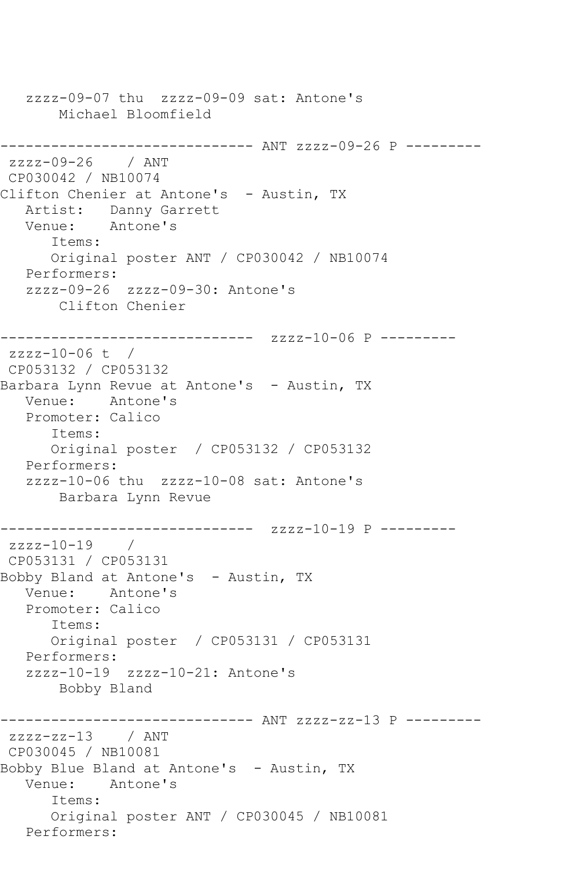zzzz-09-07 thu zzzz-09-09 sat: Antone's Michael Bloomfield ------------------------------ ANT zzzz-09-26 P -------- zzzz-09-26 / ANT CP030042 / NB10074 Clifton Chenier at Antone's - Austin, TX Artist: Danny Garrett Venue: Antone's Items: Original poster ANT / CP030042 / NB10074 Performers: zzzz-09-26 zzzz-09-30: Antone's Clifton Chenier ------------------------------ zzzz-10-06 P -------- zzzz-10-06 t / CP053132 / CP053132 Barbara Lynn Revue at Antone's - Austin, TX Venue: Antone's Promoter: Calico Items: Original poster / CP053132 / CP053132 Performers: zzzz-10-06 thu zzzz-10-08 sat: Antone's Barbara Lynn Revue ------------------------------ zzzz-10-19 P --------  $zzzz-10-19$  / CP053131 / CP053131 Bobby Bland at Antone's - Austin, TX Venue: Antone's Promoter: Calico Items: Original poster / CP053131 / CP053131 Performers: zzzz-10-19 zzzz-10-21: Antone's Bobby Bland ------------------------------ ANT zzzz-zz-13 P --------  $zzzzz-zz-13$  / ANT CP030045 / NB10081 Bobby Blue Bland at Antone's - Austin, TX Venue: Antone's Items: Original poster ANT / CP030045 / NB10081 Performers: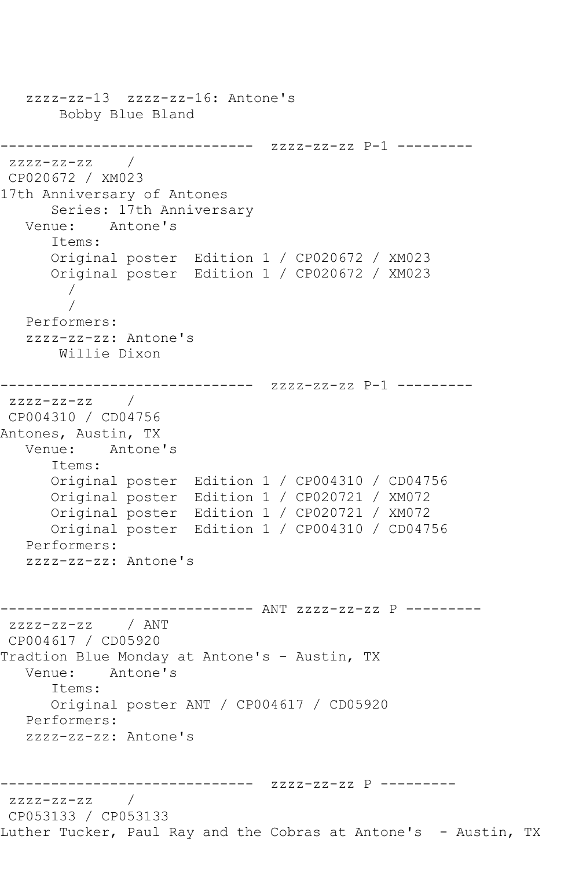```
 zzzz-zz-13 zzzz-zz-16: Antone's
        Bobby Blue Bland
                ------------------------------ zzzz-zz-zz P-1 ---------
zzzz-zz-zzCP020672 / XM023
17th Anniversary of Antones
       Series: 17th Anniversary
   Venue: Antone's
      Items:
       Original poster Edition 1 / CP020672 / XM023
       Original poster Edition 1 / CP020672 / XM023
 / 
 / 
   Performers:
   zzzz-zz-zz: Antone's
       Willie Dixon
------------------------------ zzzz-zz-zz P-1 ---------
zzzz-zz-zz / 
CP004310 / CD04756
Antones, Austin, TX
   Venue: Antone's
       Items:
      Original poster Edition 1 / CP004310 / CD04756
      Original poster Edition 1 / CP020721 / XM072
      Original poster Edition 1 / CP020721 / XM072
      Original poster Edition 1 / CP004310 / CD04756
   Performers:
   zzzz-zz-zz: Antone's
------------------------------ ANT zzzz-zz-zz P ---------
zzzz-zz-zz / ANT 
CP004617 / CD05920
Tradtion Blue Monday at Antone's - Austin, TX<br>Venue: Antone's
            Antone's
       Items:
      Original poster ANT / CP004617 / CD05920
   Performers:
   zzzz-zz-zz: Antone's
        ------------------------------ zzzz-zz-zz P ---------
zzzz-zz-zz / 
CP053133 / CP053133
Luther Tucker, Paul Ray and the Cobras at Antone's - Austin, TX
```